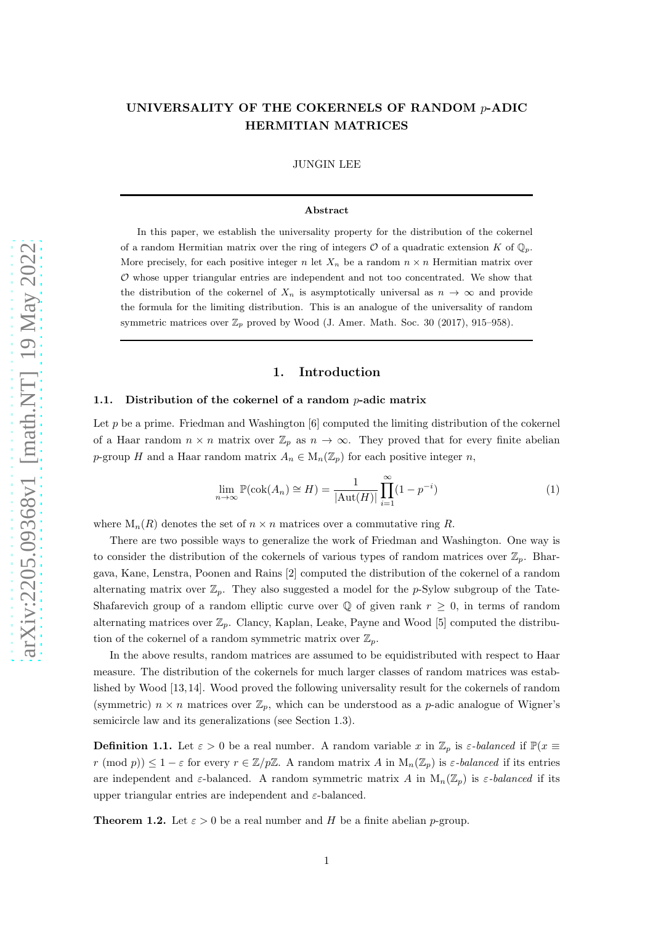# UNIVERSALITY OF THE COKERNELS OF RANDOM  $p$ -ADIC HERMITIAN MATRICES

## JUNGIN LEE

## Abstract

In this paper, we establish the universality property for the distribution of the cokernel of a random Hermitian matrix over the ring of integers  $\mathcal O$  of a quadratic extension K of  $\mathbb Q_p$ . More precisely, for each positive integer n let  $X_n$  be a random  $n \times n$  Hermitian matrix over  $O$  whose upper triangular entries are independent and not too concentrated. We show that the distribution of the cokernel of  $X_n$  is asymptotically universal as  $n \to \infty$  and provide the formula for the limiting distribution. This is an analogue of the universality of random symmetric matrices over  $\mathbb{Z}_p$  proved by Wood (J. Amer. Math. Soc. 30 (2017), 915–958).

# 1. Introduction

#### 1.1. Distribution of the cokernel of a random  $p$ -adic matrix

Let p be a prime. Friedman and Washington  $[6]$  computed the limiting distribution of the cokernel of a Haar random  $n \times n$  matrix over  $\mathbb{Z}_p$  as  $n \to \infty$ . They proved that for every finite abelian p-group H and a Haar random matrix  $A_n \in M_n(\mathbb{Z}_p)$  for each positive integer n,

$$
\lim_{n \to \infty} \mathbb{P}(\operatorname{cok}(A_n) \cong H) = \frac{1}{|\operatorname{Aut}(H)|} \prod_{i=1}^{\infty} (1 - p^{-i})
$$
\n(1)

where  $M_n(R)$  denotes the set of  $n \times n$  matrices over a commutative ring R.

There are two possible ways to generalize the work of Friedman and Washington. One way is to consider the distribution of the cokernels of various types of random matrices over  $\mathbb{Z}_p$ . Bhargava, Kane, Lenstra, Poonen and Rains [\[2\]](#page-20-1) computed the distribution of the cokernel of a random alternating matrix over  $\mathbb{Z}_p$ . They also suggested a model for the p-Sylow subgroup of the Tate-Shafarevich group of a random elliptic curve over  $\mathbb Q$  of given rank  $r \geq 0$ , in terms of random alternating matrices over  $\mathbb{Z}_p$ . Clancy, Kaplan, Leake, Payne and Wood [\[5\]](#page-20-2) computed the distribution of the cokernel of a random symmetric matrix over  $\mathbb{Z}_p$ .

In the above results, random matrices are assumed to be equidistributed with respect to Haar measure. The distribution of the cokernels for much larger classes of random matrices was established by Wood [\[13,](#page-20-3) [14\]](#page-20-4). Wood proved the following universality result for the cokernels of random (symmetric)  $n \times n$  matrices over  $\mathbb{Z}_p$ , which can be understood as a p-adic analogue of Wigner's semicircle law and its generalizations (see Section [1.3\)](#page-2-0).

**Definition 1.1.** Let  $\varepsilon > 0$  be a real number. A random variable x in  $\mathbb{Z}_p$  is  $\varepsilon$ -balanced if  $\mathbb{P}(x \equiv$  $r \pmod{p} \leq 1 - \varepsilon$  for every  $r \in \mathbb{Z}/p\mathbb{Z}$ . A random matrix A in  $M_n(\mathbb{Z}_p)$  is  $\varepsilon$ -balanced if its entries are independent and  $\varepsilon$ -balanced. A random symmetric matrix A in  $M_n(\mathbb{Z}_p)$  is  $\varepsilon$ -balanced if its upper triangular entries are independent and  $\varepsilon$ -balanced.

<span id="page-0-0"></span>**Theorem 1.2.** Let  $\varepsilon > 0$  be a real number and H be a finite abelian p-group.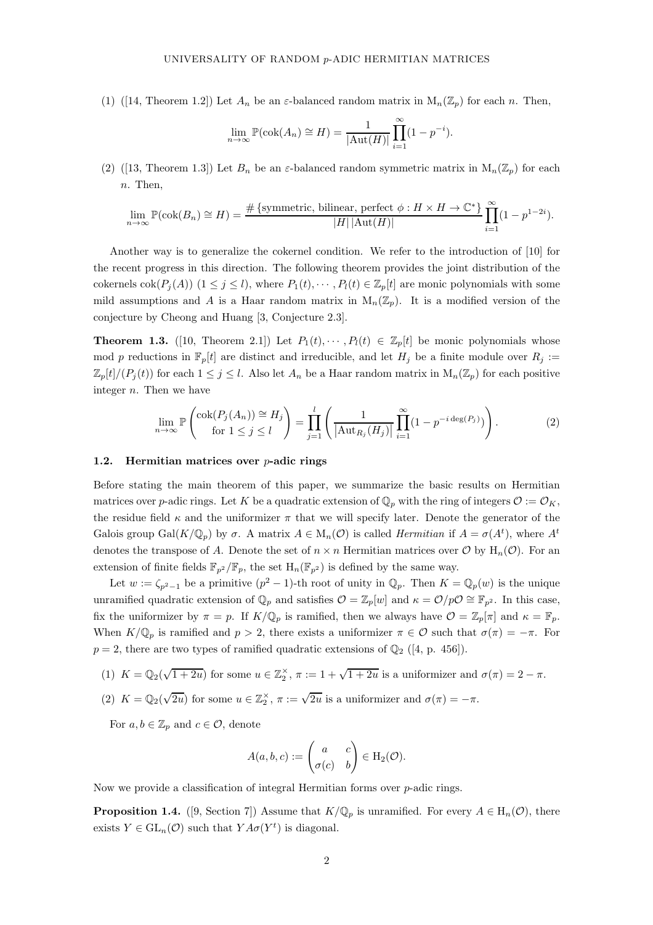(1)([\[14,](#page-20-4) Theorem 1.2]) Let  $A_n$  be an  $\varepsilon$ -balanced random matrix in  $M_n(\mathbb{Z}_p)$  for each n. Then,

$$
\lim_{n \to \infty} \mathbb{P}(\operatorname{cok}(A_n) \cong H) = \frac{1}{|\operatorname{Aut}(H)|} \prod_{i=1}^{\infty} (1 - p^{-i}).
$$

(2)([\[13,](#page-20-3) Theorem 1.3]) Let  $B_n$  be an  $\varepsilon$ -balanced random symmetric matrix in  $M_n(\mathbb{Z}_p)$  for each n. Then,

$$
\lim_{n \to \infty} \mathbb{P}(\text{cok}(B_n) \cong H) = \frac{\# \{ \text{symmetric, bilinear, perfect } \phi : H \times H \to \mathbb{C}^* \}}{|H| |\text{Aut}(H)|} \prod_{i=1}^{\infty} (1 - p^{1-2i}).
$$

Another way is to generalize the cokernel condition. We refer to the introduction of [\[10\]](#page-20-5) for the recent progress in this direction. The following theorem provides the joint distribution of the cokernels  $\text{cok}(P_i(A))$   $(1 \leq j \leq l)$ , where  $P_1(t), \cdots, P_l(t) \in \mathbb{Z}_p[t]$  are monic polynomials with some mild assumptions and A is a Haar random matrix in  $M_n(\mathbb{Z}_p)$ . It is a modified version of the conjecture by Cheong and Huang [\[3,](#page-20-6) Conjecture 2.3].

**Theorem 1.3.** ([\[10,](#page-20-5) Theorem 2.1]) Let  $P_1(t), \dots, P_l(t) \in \mathbb{Z}_p[t]$  be monic polynomials whose mod p reductions in  $\mathbb{F}_p[t]$  are distinct and irreducible, and let  $H_j$  be a finite module over  $R_j :=$  $\mathbb{Z}_p[t]/(P_j(t))$  for each  $1 \leq j \leq l$ . Also let  $A_n$  be a Haar random matrix in  $M_n(\mathbb{Z}_p)$  for each positive integer n. Then we have

$$
\lim_{n \to \infty} \mathbb{P}\left(\frac{\cosh(P_j(A_n)) \cong H_j}{\text{for } 1 \leq j \leq l}\right) = \prod_{j=1}^l \left(\frac{1}{|\text{Aut}_{R_j}(H_j)|} \prod_{i=1}^{\infty} (1 - p^{-i \deg(P_j)})\right). \tag{2}
$$

#### <span id="page-1-1"></span>1.2. Hermitian matrices over  $p$ -adic rings

Before stating the main theorem of this paper, we summarize the basic results on Hermitian matrices over p-adic rings. Let K be a quadratic extension of  $\mathbb{Q}_p$  with the ring of integers  $\mathcal{O} := \mathcal{O}_K$ , the residue field  $\kappa$  and the uniformizer  $\pi$  that we will specify later. Denote the generator of the Galois group  $Gal(K/\mathbb{Q}_p)$  by  $\sigma$ . A matrix  $A \in M_n(\mathcal{O})$  is called *Hermitian* if  $A = \sigma(A^t)$ , where  $A^t$ denotes the transpose of A. Denote the set of  $n \times n$  Hermitian matrices over O by  $H_n(\mathcal{O})$ . For an extension of finite fields  $\mathbb{F}_{p^2}/\mathbb{F}_p$ , the set  $H_n(\mathbb{F}_{p^2})$  is defined by the same way.

Let  $w := \zeta_{p^2-1}$  be a primitive  $(p^2-1)$ -th root of unity in  $\mathbb{Q}_p$ . Then  $K = \mathbb{Q}_p(w)$  is the unique unramified quadratic extension of  $\mathbb{Q}_p$  and satisfies  $\mathcal{O} = \mathbb{Z}_p[w]$  and  $\kappa = \mathcal{O}/p\mathcal{O} \cong \mathbb{F}_{p^2}$ . In this case, fix the uniformizer by  $\pi = p$ . If  $K/\mathbb{Q}_p$  is ramified, then we always have  $\mathcal{O} = \mathbb{Z}_p[\pi]$  and  $\kappa = \mathbb{F}_p$ . When  $K/\mathbb{Q}_p$  is ramified and  $p > 2$ , there exists a uniformizer  $\pi \in \mathcal{O}$  such that  $\sigma(\pi) = -\pi$ . For  $p = 2$ , there are two types of ramified quadratic extensions of  $\mathbb{Q}_2$  ([\[4,](#page-20-7) p. 456]).

- (1)  $K = \mathbb{Q}_2(\sqrt{1+2u})$  for some  $u \in \mathbb{Z}_2^{\times}$ ,  $\pi := 1 + \sqrt{1+2u}$  is a uniformizer and  $\sigma(\pi) = 2 \pi$ .
- (2)  $K = \mathbb{Q}_2(\sqrt{2u})$  for some  $u \in \mathbb{Z}_2^{\times}$ ,  $\pi := \sqrt{2u}$  is a uniformizer and  $\sigma(\pi) = -\pi$ .

For  $a, b \in \mathbb{Z}_p$  and  $c \in \mathcal{O}$ , denote

$$
A(a,b,c) := \begin{pmatrix} a & c \\ \sigma(c) & b \end{pmatrix} \in \mathrm{H}_2(\mathcal{O}).
$$

Now we provide a classification of integral Hermitian forms over  $p$ -adic rings.

<span id="page-1-0"></span>**Proposition 1.4.** ([\[9,](#page-20-8) Section 7]) Assume that  $K/\mathbb{Q}_p$  is unramified. For every  $A \in H_n(\mathcal{O})$ , there exists  $Y \in GL_n(\mathcal{O})$  such that  $YA\sigma(Y^t)$  is diagonal.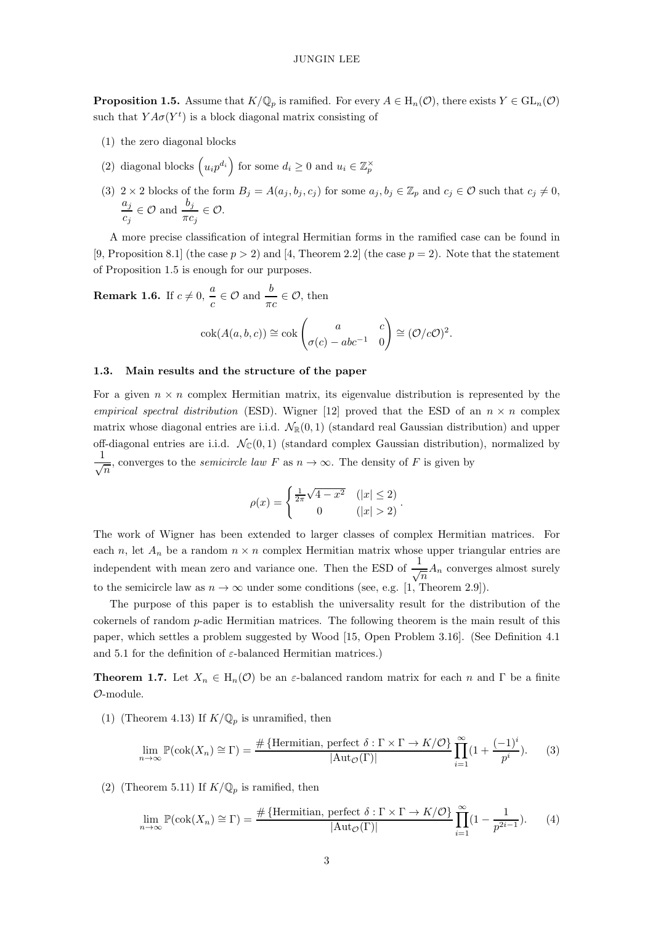**Proposition 1.5.** Assume that  $K/\mathbb{Q}_p$  is ramified. For every  $A \in H_n(\mathcal{O})$ , there exists  $Y \in GL_n(\mathcal{O})$ such that  $YA\sigma(Y^t)$  is a block diagonal matrix consisting of

- (1) the zero diagonal blocks
- (2) diagonal blocks  $\left(u_i p^{d_i}\right)$  for some  $d_i \geq 0$  and  $u_i \in \mathbb{Z}_p^{\times}$
- (3) 2 × 2 blocks of the form  $B_j = A(a_j, b_j, c_j)$  for some  $a_j, b_j \in \mathbb{Z}_p$  and  $c_j \in \mathcal{O}$  such that  $c_j \neq 0$ ,  $a_j$  $\frac{a_j}{c_j} \in \mathcal{O}$  and  $\frac{b_j}{\pi c_j} \in \mathcal{O}$ .

A more precise classification of integral Hermitian forms in the ramified case can be found in [\[9,](#page-20-8) Proposition 8.1] (the case  $p > 2$ ) and [\[4,](#page-20-7) Theorem 2.2] (the case  $p = 2$ ). Note that the statement of Proposition [1.5](#page-1-0) is enough for our purposes.

<span id="page-2-2"></span>**Remark 1.6.** If 
$$
c \neq 0
$$
,  $\frac{a}{c} \in \mathcal{O}$  and  $\frac{b}{\pi c} \in \mathcal{O}$ , then  

$$
\operatorname{cok}(A(a, b, c)) \cong \operatorname{cok}\begin{pmatrix} a & c \\ \sigma(c) - abc^{-1} & 0 \end{pmatrix} \cong (\mathcal{O}/c\mathcal{O})^2.
$$

## <span id="page-2-0"></span>1.3. Main results and the structure of the paper

For a given  $n \times n$  complex Hermitian matrix, its eigenvalue distribution is represented by the empirical spectral distribution (ESD). Wigner [\[12\]](#page-20-9) proved that the ESD of an  $n \times n$  complex matrix whose diagonal entries are i.i.d.  $\mathcal{N}_{\mathbb{R}}(0,1)$  (standard real Gaussian distribution) and upper off-diagonal entries are i.i.d.  $\mathcal{N}_{\mathbb{C}}(0,1)$  (standard complex Gaussian distribution), normalized by 1  $\frac{1}{\sqrt{n}}$ , converges to the *semicircle law* F as  $n \to \infty$ . The density of F is given by

$$
\rho(x) = \begin{cases} \frac{1}{2\pi}\sqrt{4 - x^2} & (|x| \le 2) \\ 0 & (|x| > 2) \end{cases}.
$$

The work of Wigner has been extended to larger classes of complex Hermitian matrices. For each n, let  $A_n$  be a random  $n \times n$  complex Hermitian matrix whose upper triangular entries are independent with mean zero and variance one. Then the ESD of  $\frac{1}{\sqrt{n}}A_n$  converges almost surely to the semicircle law as  $n \to \infty$  under some conditions (see, e.g. [\[1,](#page-20-10) Theorem 2.9]).

The purpose of this paper is to establish the universality result for the distribution of the cokernels of random  $p$ -adic Hermitian matrices. The following theorem is the main result of this paper, which settles a problem suggested by Wood [\[15,](#page-20-11) Open Problem 3.16]. (See Definition [4.1](#page-9-0) and [5.1](#page-14-0) for the definition of  $\varepsilon$ -balanced Hermitian matrices.)

<span id="page-2-1"></span>**Theorem 1.7.** Let  $X_n \in H_n(\mathcal{O})$  be an  $\varepsilon$ -balanced random matrix for each n and  $\Gamma$  be a finite O-module.

(1) (Theorem [4.13\)](#page-14-1) If  $K/\mathbb{Q}_p$  is unramified, then

$$
\lim_{n \to \infty} \mathbb{P}(\text{cok}(X_n) \cong \Gamma) = \frac{\# \{ \text{Hermitian, perfect } \delta : \Gamma \times \Gamma \to K/\mathcal{O} \}}{|\text{Aut}_{\mathcal{O}}(\Gamma)|} \prod_{i=1}^{\infty} (1 + \frac{(-1)^i}{p^i}).
$$
 (3)

(2) (Theorem [5.11\)](#page-19-0) If  $K/\mathbb{Q}_p$  is ramified, then

$$
\lim_{n \to \infty} \mathbb{P}(\text{cok}(X_n) \cong \Gamma) = \frac{\# \{ \text{Hermitian, perfect } \delta : \Gamma \times \Gamma \to K/\mathcal{O} \}}{|\text{Aut}_{\mathcal{O}}(\Gamma)|} \prod_{i=1}^{\infty} (1 - \frac{1}{p^{2i-1}}). \tag{4}
$$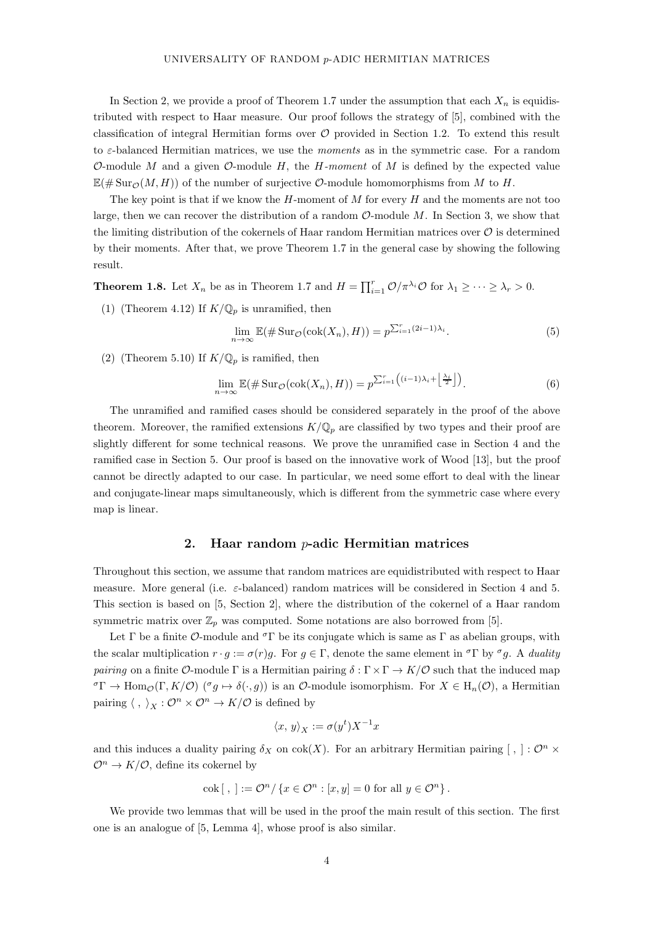In Section [2,](#page-3-0) we provide a proof of Theorem [1.7](#page-2-1) under the assumption that each  $X_n$  is equidistributed with respect to Haar measure. Our proof follows the strategy of [\[5\]](#page-20-2), combined with the classification of integral Hermitian forms over  $\mathcal O$  provided in Section [1.2.](#page-1-1) To extend this result to  $\varepsilon$ -balanced Hermitian matrices, we use the *moments* as in the symmetric case. For a random O-module M and a given O-module H, the H-moment of M is defined by the expected value  $\mathbb{E}(\#\operatorname{Sur}_{\mathcal{O}}(M, H))$  of the number of surjective  $\mathcal{O}\text{-module homomorphisms from }M$  to H.

The key point is that if we know the  $H$ -moment of  $M$  for every  $H$  and the moments are not too large, then we can recover the distribution of a random  $\mathcal{O}\text{-module }M$ . In Section [3,](#page-7-0) we show that the limiting distribution of the cokernels of Haar random Hermitian matrices over  $\mathcal O$  is determined by their moments. After that, we prove Theorem [1.7](#page-2-1) in the general case by showing the following result.

<span id="page-3-2"></span>**Theorem 1.8.** Let  $X_n$  be as in Theorem [1.7](#page-2-1) and  $H = \prod_{i=1}^r \mathcal{O}/\pi^{\lambda_i} \mathcal{O}$  for  $\lambda_1 \geq \cdots \geq \lambda_r > 0$ .

(1) (Theorem [4.12\)](#page-14-2) If  $K/\mathbb{Q}_p$  is unramified, then

$$
\lim_{n \to \infty} \mathbb{E}(\# \operatorname{Sur}_{\mathcal{O}}(\operatorname{cok}(X_n), H)) = p^{\sum_{i=1}^r (2i-1)\lambda_i}.
$$
\n(5)

(2) (Theorem [5.10\)](#page-19-1) If  $K/\mathbb{Q}_p$  is ramified, then

$$
\lim_{n \to \infty} \mathbb{E}(\# \operatorname{Sur}_{\mathcal{O}}(\operatorname{cok}(X_n), H)) = p^{\sum_{i=1}^r \left( (i-1)\lambda_i + \left\lfloor \frac{\lambda_i}{2} \right\rfloor \right)}.
$$
\n(6)

The unramified and ramified cases should be considered separately in the proof of the above theorem. Moreover, the ramified extensions  $K/\mathbb{Q}_p$  are classified by two types and their proof are slightly different for some technical reasons. We prove the unramified case in Section [4](#page-9-1) and the ramified case in Section [5.](#page-14-3) Our proof is based on the innovative work of Wood [\[13\]](#page-20-3), but the proof cannot be directly adapted to our case. In particular, we need some effort to deal with the linear and conjugate-linear maps simultaneously, which is different from the symmetric case where every map is linear.

## 2. Haar random p-adic Hermitian matrices

<span id="page-3-0"></span>Throughout this section, we assume that random matrices are equidistributed with respect to Haar measure. More general (i.e.  $\varepsilon$ -balanced) random matrices will be considered in Section [4](#page-9-1) and [5.](#page-14-3) This section is based on [\[5,](#page-20-2) Section 2], where the distribution of the cokernel of a Haar random symmetric matrix over  $\mathbb{Z}_p$  was computed. Some notations are also borrowed from [\[5\]](#page-20-2).

Let  $\Gamma$  be a finite O-module and <sup> $\sigma$ </sup> $\Gamma$  be its conjugate which is same as  $\Gamma$  as abelian groups, with the scalar multiplication  $r \cdot g := \sigma(r)g$ . For  $g \in \Gamma$ , denote the same element in  ${}^{\sigma}\Gamma$  by  ${}^{\sigma}g$ . A *duality* pairing on a finite O-module Γ is a Hermitian pairing  $\delta : \Gamma \times \Gamma \to K/\mathcal{O}$  such that the induced map  ${}^{\sigma}\Gamma \to \text{Hom}_{\mathcal{O}}(\Gamma, K/\mathcal{O})$  ( ${}^{\sigma}g \mapsto \delta(\cdot, g)$ ) is an  $\mathcal{O}\text{-module isomorphism. For } X \in \text{H}_n(\mathcal{O})$ , a Hermitian pairing  $\langle , \rangle_X : \mathcal{O}^n \times \mathcal{O}^n \to K/\mathcal{O}$  is defined by

$$
\langle x, y \rangle_X := \sigma(y^t) X^{-1} x
$$

and this induces a duality pairing  $\delta_X$  on cok(X). For an arbitrary Hermitian pairing [,]:  $\mathcal{O}^n \times$  $\mathcal{O}^n \to K/\mathcal{O}$ , define its cokernel by

$$
\mathrm{cok}\left[\right.,\left.\right]:=\mathcal{O}^n/\left\{x\in\mathcal{O}^n:\left[x,y\right]=0\;\mathrm{for\;all}\;y\in\mathcal{O}^n\right\}.
$$

<span id="page-3-1"></span>We provide two lemmas that will be used in the proof the main result of this section. The first one is an analogue of [\[5,](#page-20-2) Lemma 4], whose proof is also similar.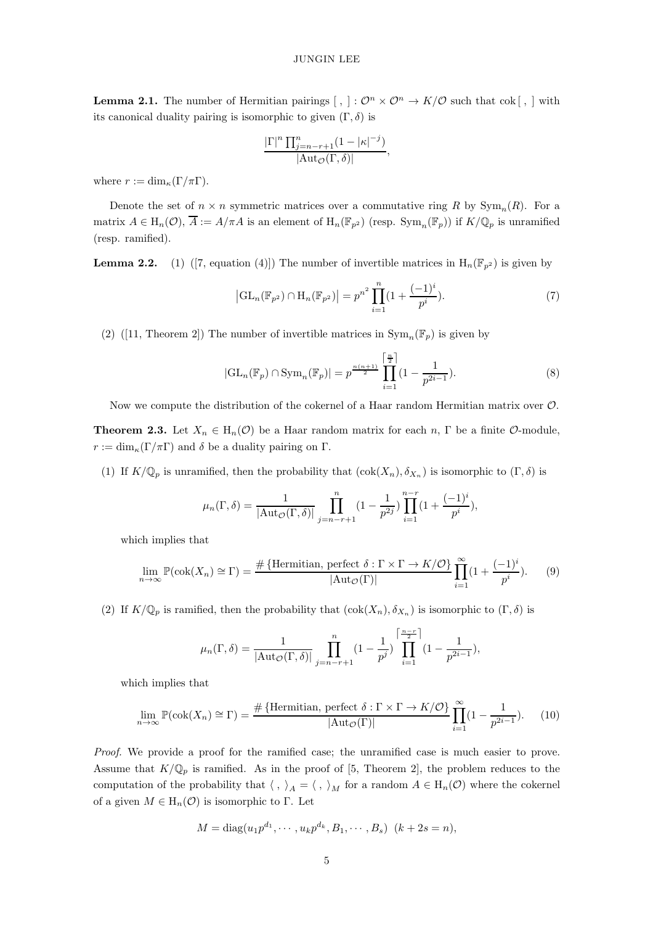**Lemma 2.1.** The number of Hermitian pairings  $[, ]: \mathcal{O}^n \times \mathcal{O}^n \to K/\mathcal{O}$  such that cok  $[, ]$  with its canonical duality pairing is isomorphic to given  $(\Gamma, \delta)$  is

$$
\frac{\left|\Gamma\right|^n \prod_{j=n-r+1}^n (1-|\kappa|^{-j})}{|\mathrm{Aut}_{\mathcal{O}}(\Gamma,\delta)|},
$$

where  $r := \dim_{\kappa}(\Gamma/\pi\Gamma)$ .

Denote the set of  $n \times n$  symmetric matrices over a commutative ring R by  $Sym_n(R)$ . For a matrix  $A \in H_n(\mathcal{O}), \overline{A} := A/\pi A$  is an element of  $H_n(\mathbb{F}_{p^2})$  (resp.  $\text{Sym}_n(\mathbb{F}_p)$ ) if  $K/\mathbb{Q}_p$  is unramified (resp. ramified).

<span id="page-4-0"></span>**Lemma2.2.** (1) ([\[7,](#page-20-12) equation (4)]) The number of invertible matrices in  $H_n(\mathbb{F}_{p^2})$  is given by

$$
\left| GL_n(\mathbb{F}_{p^2}) \cap H_n(\mathbb{F}_{p^2}) \right| = p^{n^2} \prod_{i=1}^n (1 + \frac{(-1)^i}{p^i}). \tag{7}
$$

(2)([\[11,](#page-20-13) Theorem 2]) The number of invertible matrices in  $\text{Sym}_n(\mathbb{F}_p)$  is given by

$$
|\mathrm{GL}_n(\mathbb{F}_p) \cap \mathrm{Sym}_n(\mathbb{F}_p)| = p^{\frac{n(n+1)}{2}} \prod_{i=1}^{\left[\frac{n}{2}\right]} (1 - \frac{1}{p^{2i-1}}). \tag{8}
$$

Now we compute the distribution of the cokernel of a Haar random Hermitian matrix over O.

**Theorem 2.3.** Let  $X_n \in H_n(\mathcal{O})$  be a Haar random matrix for each n,  $\Gamma$  be a finite  $\mathcal{O}$ -module,  $r := \dim_{\kappa}(\Gamma/\pi\Gamma)$  and  $\delta$  be a duality pairing on  $\Gamma$ .

(1) If  $K/\mathbb{Q}_p$  is unramified, then the probability that  $(\text{cok}(X_n), \delta_{X_n})$  is isomorphic to  $(\Gamma, \delta)$  is

<span id="page-4-1"></span>
$$
\mu_n(\Gamma, \delta) = \frac{1}{|\text{Aut}_{\mathcal{O}}(\Gamma, \delta)|} \prod_{j=n-r+1}^n (1 - \frac{1}{p^{2j}}) \prod_{i=1}^{n-r} (1 + \frac{(-1)^i}{p^i}),
$$

which implies that

$$
\lim_{n \to \infty} \mathbb{P}(\text{cok}(X_n) \cong \Gamma) = \frac{\# \{ \text{Hermitian, perfect } \delta : \Gamma \times \Gamma \to K/\mathcal{O} \}}{|\text{Aut}_{\mathcal{O}}(\Gamma)|} \prod_{i=1}^{\infty} (1 + \frac{(-1)^i}{p^i}).
$$
 (9)

(2) If  $K/\mathbb{Q}_p$  is ramified, then the probability that  $(\text{cok}(X_n), \delta_{X_n})$  is isomorphic to  $(\Gamma, \delta)$  is

<span id="page-4-2"></span>
$$
\mu_n(\Gamma,\delta) = \frac{1}{|\text{Aut}_{\mathcal{O}}(\Gamma,\delta)|} \prod_{j=n-r+1}^n (1 - \frac{1}{p^j}) \prod_{i=1}^{\lceil \frac{n-r}{2} \rceil} (1 - \frac{1}{p^{2i-1}}),
$$

which implies that

$$
\lim_{n \to \infty} \mathbb{P}(\text{cok}(X_n) \cong \Gamma) = \frac{\# \{ \text{Hermitian, perfect } \delta : \Gamma \times \Gamma \to K/\mathcal{O} \}}{|\text{Aut}_{\mathcal{O}}(\Gamma)|} \prod_{i=1}^{\infty} (1 - \frac{1}{p^{2i-1}}). \tag{10}
$$

Proof. We provide a proof for the ramified case; the unramified case is much easier to prove. Assume that  $K/\mathbb{Q}_p$  is ramified. As in the proof of [\[5,](#page-20-2) Theorem 2], the problem reduces to the computation of the probability that  $\langle , \rangle_A = \langle , \rangle_M$  for a random  $A \in H_n(\mathcal{O})$  where the cokernel of a given  $M \in H_n(\mathcal{O})$  is isomorphic to Γ. Let

$$
M = \text{diag}(u_1 p^{d_1}, \cdots, u_k p^{d_k}, B_1, \cdots, B_s) \ (k + 2s = n),
$$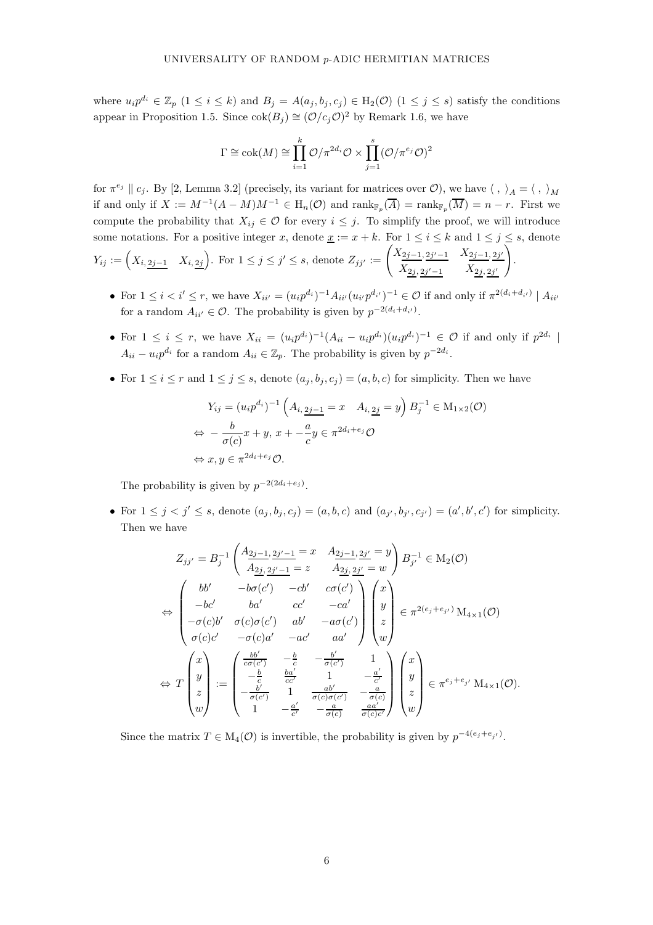where  $u_i p^{d_i} \in \mathbb{Z}_p$   $(1 \leq i \leq k)$  and  $B_j = A(a_j, b_j, c_j) \in H_2(\mathcal{O})$   $(1 \leq j \leq s)$  satisfy the conditions appear in Proposition [1.5.](#page-1-0) Since  $\operatorname{cok}(B_j) \cong (\mathcal{O}/c_j \mathcal{O})^2$  by Remark [1.6,](#page-2-2) we have

$$
\Gamma \cong \operatorname{cok}(M) \cong \prod_{i=1}^{k} \mathcal{O}/\pi^{2d_i} \mathcal{O} \times \prod_{j=1}^{s} (\mathcal{O}/\pi^{e_j} \mathcal{O})^2
$$

for  $\pi^{e_j} \parallel c_j$ . By [\[2,](#page-20-1) Lemma 3.2] (precisely, its variant for matrices over  $\mathcal{O}$ ), we have  $\langle , \rangle_A = \langle , \rangle_M$ if and only if  $X := M^{-1}(A - M)M^{-1} \in \mathrm{H}_n(\mathcal{O})$  and  $\mathrm{rank}_{\mathbb{F}_p}(\overline{A}) = \mathrm{rank}_{\mathbb{F}_p}(\overline{M}) = n - r$ . First we compute the probability that  $X_{ij} \in \mathcal{O}$  for every  $i \leq j$ . To simplify the proof, we will introduce some notations. For a positive integer x, denote  $\underline{x} := x + k$ . For  $1 \le i \le k$  and  $1 \le j \le s$ , denote  $Y_{ij} := \left(X_{i, \frac{2j-1}{2}} \mid X_{i, \frac{2j}{2}}\right)$ . For  $1 \leq j \leq j' \leq s$ , denote  $Z_{jj'} := \left(\frac{X_{2j-1, \frac{2j'-1}{2}} \mid X_{2j-1, \frac{2j'}{2}}}{X_{2j, \frac{2j}{2}} \mid X_{2j-1, \frac{2j'}{2}}}\right)$  $\setminus$ .

 $X_{2j, 2j'-1}$   $X_{2j, 2j'}$ • For  $1 \leq i < i' \leq r$ , we have  $X_{ii'} = (u_i p^{d_i})^{-1} A_{ii'} (u_{i'} p^{d_{i'}})^{-1} \in \mathcal{O}$  if and only if  $\pi^{2(d_i + d_{i'})} | A_{ii'}$ 

for a random  $A_{ii'} \in \mathcal{O}$ . The probability is given by  $p^{-2(d_i + d_{i'})}$ .

- For  $1 \leq i \leq r$ , we have  $X_{ii} = (u_i p^{d_i})^{-1} (A_{ii} u_i p^{d_i}) (u_i p^{d_i})^{-1} \in \mathcal{O}$  if and only if  $p^{2d_i}$  $A_{ii} - u_i p^{d_i}$  for a random  $A_{ii} \in \mathbb{Z}_p$ . The probability is given by  $p^{-2d_i}$ .
- For  $1 \leq i \leq r$  and  $1 \leq j \leq s$ , denote  $(a_i, b_i, c_j) = (a, b, c)$  for simplicity. Then we have

$$
Y_{ij} = (u_i p^{d_i})^{-1} \left( A_{i, \frac{2j-1}{c}} = x \quad A_{i, \frac{2j}{c}} = y \right) B_j^{-1} \in M_{1 \times 2}(\mathcal{O})
$$
  
\n
$$
\Leftrightarrow -\frac{b}{\sigma(c)} x + y, \ x + -\frac{a}{c} y \in \pi^{2d_i + e_j} \mathcal{O}
$$
  
\n
$$
\Leftrightarrow x, y \in \pi^{2d_i + e_j} \mathcal{O}.
$$

The probability is given by  $p^{-2(2d_i+e_j)}$ .

• For  $1 \leq j < j' \leq s$ , denote  $(a_j, b_j, c_j) = (a, b, c)$  and  $(a_{j'}, b_{j'}, c_{j'}) = (a', b', c')$  for simplicity. Then we have

$$
Z_{jj'} = B_j^{-1} \begin{pmatrix} A_{2j-1, 2j'-1} = x & A_{2j-1, 2j'} = y \\ A_{2j, 2j'-1} = z & A_{2j, 2j'} = w \end{pmatrix} B_{j'}^{-1} \in M_2(\mathcal{O})
$$
\n
$$
\Leftrightarrow \begin{pmatrix} bb' & -b\sigma(c') & -cb' & c\sigma(c') \\ -bc' & ba' & c\sigma' & -ca' \\ -\sigma(c)b' & \sigma(c)\sigma(c') & ab' & -a\sigma(c') \\ \sigma(c)c' & -\sigma(c)a' & -ac' & aa' \end{pmatrix} \begin{pmatrix} x \\ y \\ z \\ w \end{pmatrix} \in \pi^{2(e_j + e_{j'})} M_{4 \times 1}(\mathcal{O})
$$
\n
$$
\Leftrightarrow T \begin{pmatrix} x \\ y \\ z \\ z \\ w \end{pmatrix} := \begin{pmatrix} \frac{bb'}{c\sigma(c')} & -\frac{b}{c} & -\frac{b'}{\sigma(c')} & 1 \\ -\frac{b'}{c} & \frac{ba'}{c\sigma'} & 1 & -\frac{a'}{c'} \\ -\frac{b'}{\sigma(c)} & 1 & \frac{ab'}{\sigma(c)\sigma(c')} & -\frac{a}{\sigma(c)} \\ 1 & -\frac{a'}{c'} & -\frac{a}{\sigma(c)} & \frac{aa'}{\sigma(c)c'} \end{pmatrix} \begin{pmatrix} x \\ y \\ z \\ w \end{pmatrix} \in \pi^{e_j + e_{j'}} M_{4 \times 1}(\mathcal{O}).
$$

Since the matrix  $T \in M_4(\mathcal{O})$  is invertible, the probability is given by  $p^{-4(e_j+e_{j'})}$ .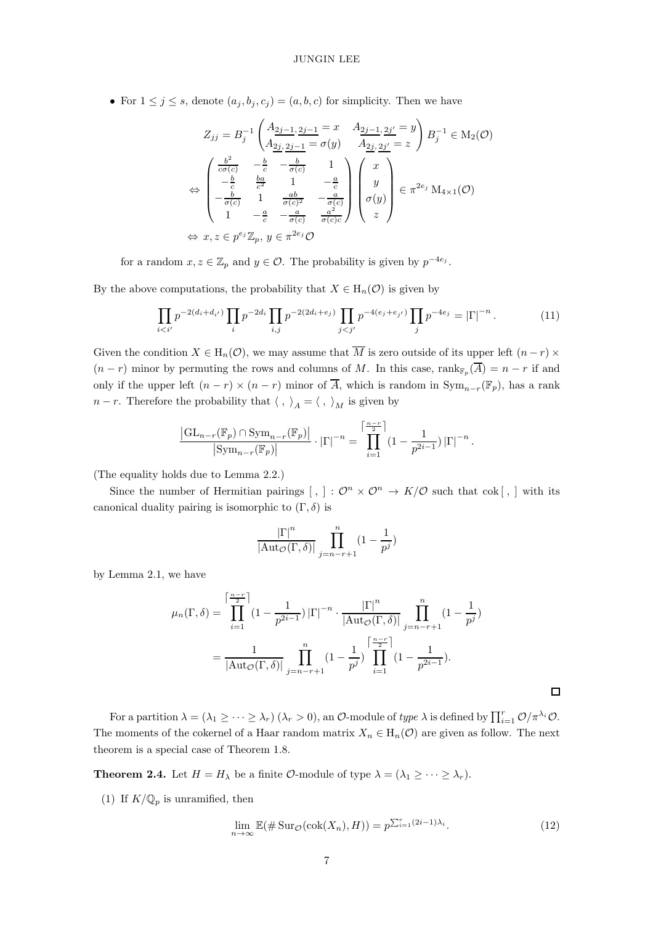• For  $1 \leq j \leq s$ , denote  $(a_j, b_j, c_j) = (a, b, c)$  for simplicity. Then we have

$$
Z_{jj} = B_j^{-1} \left( \frac{A_{2j-1,2j-1}}{A_{2j,2j-1}} = x \quad \frac{A_{2j-1,2j'}}{A_{2j,2j'}} = y \right) B_j^{-1} \in M_2(\mathcal{O})
$$
  
\n
$$
\Leftrightarrow \begin{pmatrix}\n\frac{b^2}{c\sigma(c)} & -\frac{b}{c} & -\frac{b}{\sigma(c)} & 1 \\
-\frac{b}{c} & \frac{ba}{c^2} & 1 & -\frac{a}{c} \\
-\frac{b}{\sigma(c)} & 1 & \frac{ab}{\sigma(c)^2} & -\frac{a}{\sigma(c)} \\
1 & -\frac{a}{c} & -\frac{a}{\sigma(c)} & \frac{a^2}{\sigma(c)c}\n\end{pmatrix}\n\begin{pmatrix}\nx \\
y \\
\sigma(y) \\
z\n\end{pmatrix} \in \pi^{2e_j} M_{4\times 1}(\mathcal{O})
$$
  
\n
$$
\Leftrightarrow x, z \in p^{e_j} \mathbb{Z}_p, y \in \pi^{2e_j} \mathcal{O}
$$

for a random  $x, z \in \mathbb{Z}_p$  and  $y \in \mathcal{O}$ . The probability is given by  $p^{-4e_j}$ .

By the above computations, the probability that  $X \in H_n(\mathcal{O})$  is given by

$$
\prod_{i < i'} p^{-2(d_i + d_{i'})} \prod_i p^{-2d_i} \prod_{i,j} p^{-2(2d_i + e_j)} \prod_{j < j'} p^{-4(e_j + e_{j'})} \prod_j p^{-4e_j} = |\Gamma|^{-n} \,. \tag{11}
$$

Given the condition  $X \in H_n(\mathcal{O})$ , we may assume that  $\overline{M}$  is zero outside of its upper left  $(n-r) \times$  $(n - r)$  minor by permuting the rows and columns of M. In this case, rank $\mathbb{F}_p(A) = n - r$  if and only if the upper left  $(n - r) \times (n - r)$  minor of  $\overline{A}$ , which is random in  $\text{Sym}_{n-r}(\mathbb{F}_p)$ , has a rank  $n - r$ . Therefore the probability that  $\langle , \rangle_A = \langle , \rangle_M$  is given by

$$
\frac{\left|\mathrm{GL}_{n-r}(\mathbb{F}_p)\cap\mathrm{Sym}_{n-r}(\mathbb{F}_p)\right|}{\left|\mathrm{Sym}_{n-r}(\mathbb{F}_p)\right|}\cdot\left|\Gamma\right|^{-n}=\prod_{i=1}^{\left\lceil\frac{n-r}{2}\right\rceil}\left(1-\frac{1}{p^{2i-1}}\right)\left|\Gamma\right|^{-n}.
$$

(The equality holds due to Lemma [2.2.](#page-4-0))

Since the number of Hermitian pairings  $[, ]: \mathcal{O}^n \times \mathcal{O}^n \to K/\mathcal{O}$  such that  $\text{cok}[, ]$  with its canonical duality pairing is isomorphic to  $(\Gamma, \delta)$  is

$$
\frac{|\Gamma|^{n}}{|\mathrm{Aut}_{\mathcal{O}}(\Gamma,\delta)|}\prod_{j=n-r+1}^{n}(1-\frac{1}{p^j})
$$

by Lemma [2.1,](#page-3-1) we have

$$
\mu_n(\Gamma,\delta) = \prod_{i=1}^{\lceil \frac{n-r}{2} \rceil} (1 - \frac{1}{p^{2i-1}}) |\Gamma|^{-n} \cdot \frac{|\Gamma|^n}{|\text{Aut}_{\mathcal{O}}(\Gamma,\delta)|} \prod_{j=n-r+1}^n (1 - \frac{1}{p^j})
$$

$$
= \frac{1}{|\text{Aut}_{\mathcal{O}}(\Gamma,\delta)|} \prod_{j=n-r+1}^n (1 - \frac{1}{p^j}) \prod_{i=1}^{\lceil \frac{n-r}{2} \rceil} (1 - \frac{1}{p^{2i-1}}).
$$

For a partition  $\lambda = (\lambda_1 \geq \cdots \geq \lambda_r)$   $(\lambda_r > 0)$ , an  $\mathcal{O}\text{-module of type } \lambda$  is defined by  $\prod_{i=1}^r \mathcal{O}/\pi^{\lambda_i}\mathcal{O}$ . The moments of the cokernel of a Haar random matrix  $X_n \in H_n(\mathcal{O})$  are given as follow. The next theorem is a special case of Theorem [1.8.](#page-3-2)

<span id="page-6-0"></span>**Theorem 2.4.** Let  $H = H_{\lambda}$  be a finite  $\mathcal{O}\text{-module of type } \lambda = (\lambda_1 \geq \cdots \geq \lambda_r).$ 

(1) If  $K/\mathbb{Q}_p$  is unramified, then

<span id="page-6-1"></span>
$$
\lim_{n \to \infty} \mathbb{E}(\# \operatorname{Sur}_{\mathcal{O}}(\operatorname{cok}(X_n), H)) = p^{\sum_{i=1}^r (2i-1)\lambda_i}.
$$
\n(12)

 $\Box$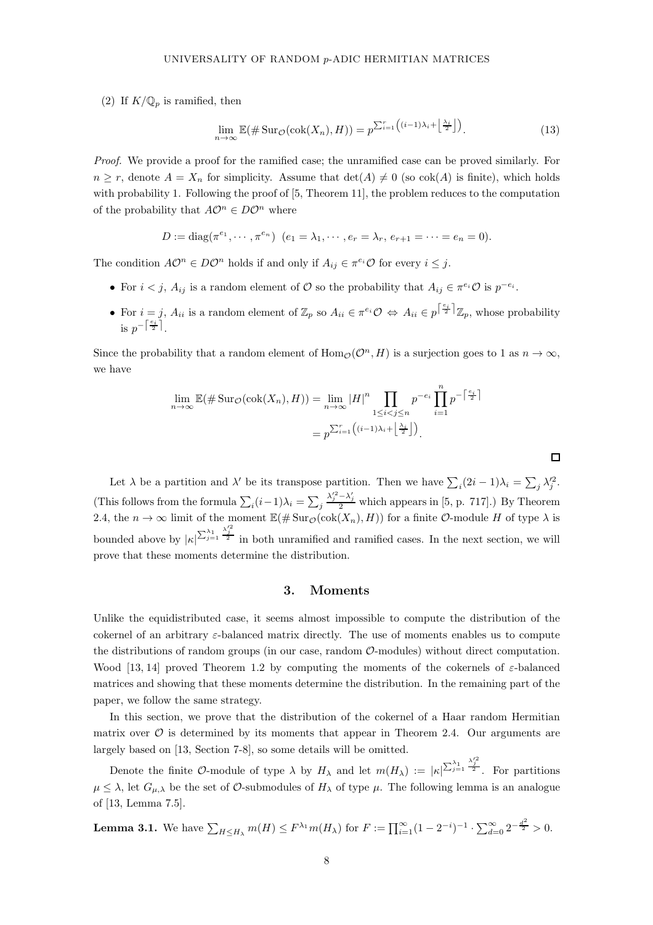(2) If  $K/\mathbb{Q}_p$  is ramified, then

<span id="page-7-1"></span>
$$
\lim_{n \to \infty} \mathbb{E}(\# \operatorname{Sur}_{\mathcal{O}}(\operatorname{cok}(X_n), H)) = p^{\sum_{i=1}^r \left( (i-1)\lambda_i + \left\lfloor \frac{\lambda_i}{2} \right\rfloor \right)}.
$$
\n(13)

Proof. We provide a proof for the ramified case; the unramified case can be proved similarly. For  $n \geq r$ , denote  $A = X_n$  for simplicity. Assume that  $\det(A) \neq 0$  (so  $\cosh(A)$  is finite), which holds with probability 1. Following the proof of [\[5,](#page-20-2) Theorem 11], the problem reduces to the computation of the probability that  $A\mathcal{O}^n \in D\mathcal{O}^n$  where

$$
D := diag(\pi^{e_1}, \cdots, \pi^{e_n}) \ (e_1 = \lambda_1, \cdots, e_r = \lambda_r, e_{r+1} = \cdots = e_n = 0).
$$

The condition  $A\mathcal{O}^n \in D\mathcal{O}^n$  holds if and only if  $A_{ij} \in \pi^{e_i} \mathcal{O}$  for every  $i \leq j$ .

- For  $i < j$ ,  $A_{ij}$  is a random element of  $\mathcal O$  so the probability that  $A_{ij} \in \pi^{e_i} \mathcal O$  is  $p^{-e_i}$ .
- For  $i = j$ ,  $A_{ii}$  is a random element of  $\mathbb{Z}_p$  so  $A_{ii} \in \pi^{e_i} \mathcal{O} \Leftrightarrow A_{ii} \in p^{\lceil \frac{e_i}{2} \rceil} \mathbb{Z}_p$ , whose probability is  $p^{-\left\lceil\frac{e_i}{2}\right\rceil}$ .

Since the probability that a random element of  $\text{Hom}_{\mathcal{O}}(\mathcal{O}^n, H)$  is a surjection goes to 1 as  $n \to \infty$ , we have

$$
\lim_{n \to \infty} \mathbb{E}(\# \operatorname{Sur}_{\mathcal{O}}(\operatorname{cok}(X_n), H)) = \lim_{n \to \infty} |H|^n \prod_{1 \le i < j \le n} p^{-e_i} \prod_{i=1}^n p^{-\left\lceil \frac{e_i}{2} \right\rceil}
$$
\n
$$
= p^{\sum_{i=1}^r \left( (i-1)\lambda_i + \left\lfloor \frac{\lambda_i}{2} \right\rfloor \right)}.
$$

Let  $\lambda$  be a partition and  $\lambda'$  be its transpose partition. Then we have  $\sum_i (2i-1)\lambda_i = \sum_j \lambda_j'^2$ . (This follows from the formula  $\sum_i (i-1)\lambda_i = \sum_j$  $\frac{\lambda_j'^2 - \lambda_j'}{2}$  which appears in [\[5,](#page-20-2) p. 717].) By Theorem [2.4,](#page-6-0) the  $n \to \infty$  limit of the moment  $\mathbb{E}(\# \text{Sur}_\mathcal{O}(\text{cok}(X_n), H))$  for a finite  $\mathcal{O}\text{-module } H$  of type  $\lambda$  is bounded above by  $|\kappa|^{\sum_{j=1}^{\lambda_1} \frac{\lambda_j'^2}{2}}$  in both unramified and ramified cases. In the next section, we will prove that these moments determine the distribution.

#### 3. Moments

<span id="page-7-0"></span>Unlike the equidistributed case, it seems almost impossible to compute the distribution of the cokernel of an arbitrary  $\varepsilon$ -balanced matrix directly. The use of moments enables us to compute the distributions of random groups (in our case, random  $\mathcal{O}\text{-modules}$ ) without direct computation. Wood [\[13,](#page-20-3) [14\]](#page-20-4) proved Theorem [1.2](#page-0-0) by computing the moments of the cokernels of  $\varepsilon$ -balanced matrices and showing that these moments determine the distribution. In the remaining part of the paper, we follow the same strategy.

In this section, we prove that the distribution of the cokernel of a Haar random Hermitian matrix over  $\mathcal O$  is determined by its moments that appear in Theorem [2.4.](#page-6-0) Our arguments are largely based on [\[13,](#page-20-3) Section 7-8], so some details will be omitted.

Denote the finite O-module of type  $\lambda$  by  $H_{\lambda}$  and let  $m(H_{\lambda}) := |\kappa|^{(\sum_{j=1}^{\lambda_1} \frac{\lambda_j'^2}{2})}$ . For partitions  $\mu \leq \lambda$ , let  $G_{\mu,\lambda}$  be the set of  $\mathcal{O}$ -submodules of  $H_{\lambda}$  of type  $\mu$ . The following lemma is an analogue of [\[13,](#page-20-3) Lemma 7.5].

**Lemma 3.1.** We have 
$$
\sum_{H \leq H_{\lambda}} m(H) \leq F^{\lambda_1} m(H_{\lambda})
$$
 for  $F := \prod_{i=1}^{\infty} (1 - 2^{-i})^{-1} \cdot \sum_{d=0}^{\infty} 2^{-\frac{d^2}{2}} > 0$ .

□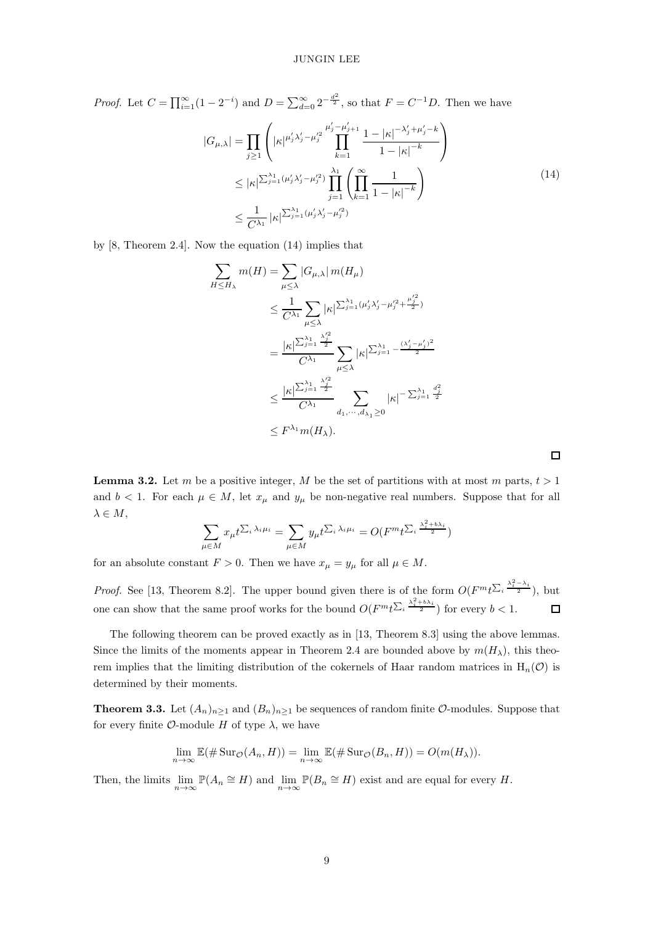*Proof.* Let  $C = \prod_{i=1}^{\infty} (1 - 2^{-i})$  and  $D = \sum_{d=0}^{\infty} 2^{-\frac{d^2}{2}}$ , so that  $F = C^{-1}D$ . Then we have

<span id="page-8-0"></span>
$$
|G_{\mu,\lambda}| = \prod_{j\geq 1} \left( |\kappa|^{\mu'_j \lambda'_j - \mu'^2_j} \prod_{k=1}^{\mu'_j - \mu'_{j+1}} \frac{1 - |\kappa|^{-\lambda'_j + \mu'_j - k}}{1 - |\kappa|^{-k}} \right)
$$
  

$$
\leq |\kappa|^{\sum_{j=1}^{\lambda_1} (\mu'_j \lambda'_j - \mu'^2_j)} \prod_{j=1}^{\lambda_1} \left( \prod_{k=1}^{\infty} \frac{1}{1 - |\kappa|^{-k}} \right)
$$
  

$$
\leq \frac{1}{C^{\lambda_1}} |\kappa|^{\sum_{j=1}^{\lambda_1} (\mu'_j \lambda'_j - \mu'^2_j)}
$$
 (14)

 $\Box$ 

by [\[8,](#page-20-14) Theorem 2.4]. Now the equation [\(14\)](#page-8-0) implies that

$$
\sum_{H \leq H_{\lambda}} m(H) = \sum_{\mu \leq \lambda} |G_{\mu,\lambda}| m(H_{\mu})
$$
\n
$$
\leq \frac{1}{C^{\lambda_1}} \sum_{\mu \leq \lambda} |\kappa|^{2\lambda_{j=1}^{\lambda_1}(\mu'_j \lambda'_j - \mu'^2_j + \frac{\mu'^2_j}{2})}
$$
\n
$$
= \frac{|\kappa|^{2\lambda_{j=1}^{\lambda_1} \lambda'^2_j}}{C^{\lambda_1}} \sum_{\mu \leq \lambda} |\kappa|^{2\lambda_{j=1}^{\lambda_1} - \frac{(\lambda'_j - \mu'_j)^2}{2}}
$$
\n
$$
\leq \frac{|\kappa|^{2\lambda_{j=1}^{\lambda_1} \lambda'^2_j}}{C^{\lambda_1}} \sum_{d_1, \dots, d_{\lambda_1} \geq 0} |\kappa|^{-2\lambda_{j=1}^{\lambda_1} \frac{d_j^2}{2}}
$$
\n
$$
\leq F^{\lambda_1} m(H_{\lambda}).
$$

**Lemma 3.2.** Let m be a positive integer, M be the set of partitions with at most m parts,  $t > 1$ and  $b < 1$ . For each  $\mu \in M$ , let  $x_{\mu}$  and  $y_{\mu}$  be non-negative real numbers. Suppose that for all  $\lambda \in M$ ,

$$
\sum_{\mu \in M} x_{\mu} t^{\sum_i \lambda_i \mu_i} = \sum_{\mu \in M} y_{\mu} t^{\sum_i \lambda_i \mu_i} = O(F^m t^{\sum_i \frac{\lambda_i^2 + b \lambda_i}{2}})
$$

for an absolute constant  $F > 0$ . Then we have  $x_{\mu} = y_{\mu}$  for all  $\mu \in M$ .

*Proof.* See [\[13,](#page-20-3) Theorem 8.2]. The upper bound given there is of the form  $O(F^m t^{\sum_i \frac{\lambda_i^2 - \lambda_i}{2}})$ , but one can show that the same proof works for the bound  $O(F^m t^{\sum_i \frac{\lambda_i^2 + b\lambda_i}{2}})$  for every  $b < 1$ .  $\Box$ 

The following theorem can be proved exactly as in [\[13,](#page-20-3) Theorem 8.3] using the above lemmas. Since the limits of the moments appear in Theorem [2.4](#page-6-0) are bounded above by  $m(H_\lambda)$ , this theorem implies that the limiting distribution of the cokernels of Haar random matrices in  $H_n(\mathcal{O})$  is determined by their moments.

<span id="page-8-1"></span>**Theorem 3.3.** Let  $(A_n)_{n\geq 1}$  and  $(B_n)_{n\geq 1}$  be sequences of random finite  $O$ -modules. Suppose that for every finite  $\mathcal{O}\text{-module }H$  of type  $\lambda$ , we have

$$
\lim_{n \to \infty} \mathbb{E}(\# \operatorname{Sur}_{\mathcal{O}}(A_n, H)) = \lim_{n \to \infty} \mathbb{E}(\# \operatorname{Sur}_{\mathcal{O}}(B_n, H)) = O(m(H_\lambda)).
$$

Then, the limits  $\lim_{n\to\infty} \mathbb{P}(A_n \cong H)$  and  $\lim_{n\to\infty} \mathbb{P}(B_n \cong H)$  exist and are equal for every H.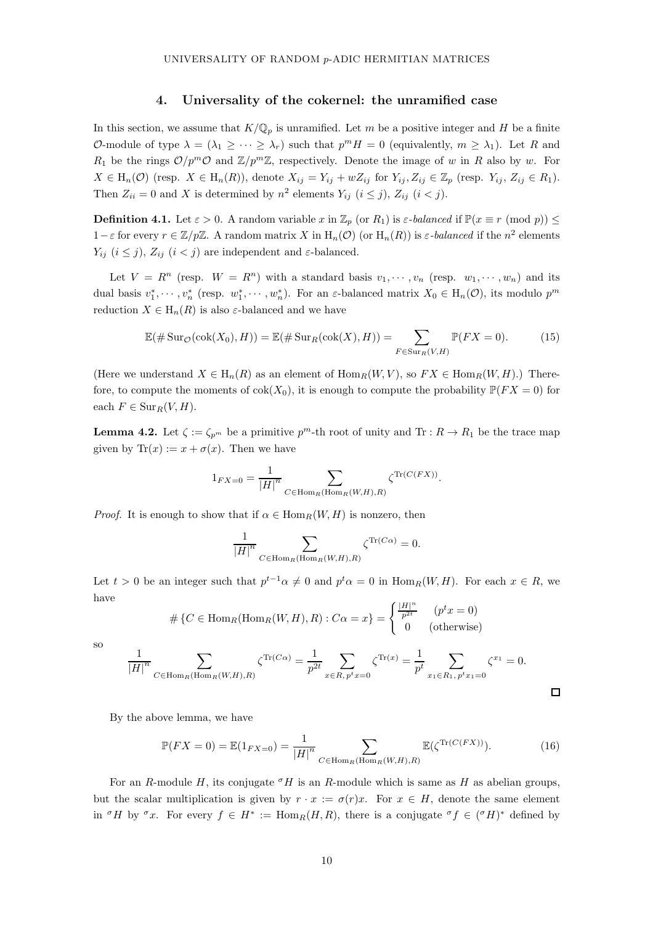## 4. Universality of the cokernel: the unramified case

<span id="page-9-1"></span>In this section, we assume that  $K/\mathbb{Q}_p$  is unramified. Let m be a positive integer and H be a finite O-module of type  $\lambda = (\lambda_1 \geq \cdots \geq \lambda_r)$  such that  $p^m H = 0$  (equivalently,  $m \geq \lambda_1$ ). Let R and  $R_1$  be the rings  $\mathcal{O}/p^m\mathcal{O}$  and  $\mathbb{Z}/p^m\mathbb{Z}$ , respectively. Denote the image of w in R also by w. For  $X \in H_n(\mathcal{O})$  (resp.  $X \in H_n(R)$ ), denote  $X_{ij} = Y_{ij} + wZ_{ij}$  for  $Y_{ij}, Z_{ij} \in \mathbb{Z}_p$  (resp.  $Y_{ij}, Z_{ij} \in R_1$ ). Then  $Z_{ii} = 0$  and X is determined by  $n^2$  elements  $Y_{ij}$   $(i \le j)$ ,  $Z_{ij}$   $(i < j)$ .

<span id="page-9-0"></span>**Definition 4.1.** Let  $\varepsilon > 0$ . A random variable x in  $\mathbb{Z}_p$  (or  $R_1$ ) is  $\varepsilon$ -balanced if  $\mathbb{P}(x \equiv r \pmod{p}) \le$ 1 –  $\varepsilon$  for every  $r \in \mathbb{Z}/p\mathbb{Z}$ . A random matrix X in  $H_n(\mathcal{O})$  (or  $H_n(R)$ ) is  $\varepsilon$ -balanced if the  $n^2$  elements  $Y_{ij}$   $(i \leq j)$ ,  $Z_{ij}$   $(i < j)$  are independent and  $\varepsilon$ -balanced.

Let  $V = R^n$  (resp.  $W = R^n$ ) with a standard basis  $v_1, \dots, v_n$  (resp.  $w_1, \dots, w_n$ ) and its dual basis  $v_1^*, \dots, v_n^*$  (resp.  $w_1^*, \dots, w_n^*$ ). For an  $\varepsilon$ -balanced matrix  $X_0 \in H_n(\mathcal{O})$ , its modulo  $p^m$ reduction  $X \in H_n(R)$  is also  $\varepsilon$ -balanced and we have

<span id="page-9-3"></span>
$$
\mathbb{E}(\#\operatorname{Sur}_{\mathcal{O}}(\operatorname{cok}(X_0), H)) = \mathbb{E}(\#\operatorname{Sur}_R(\operatorname{cok}(X), H)) = \sum_{F \in \operatorname{Sur}_R(V, H)} \mathbb{P}(FX = 0).
$$
 (15)

(Here we understand  $X \in H_n(R)$  as an element of  $\text{Hom}_R(W, V)$ , so  $FX \in \text{Hom}_R(W, H)$ .) Therefore, to compute the moments of  $cok(X_0)$ , it is enough to compute the probability  $\mathbb{P}(FX = 0)$  for each  $F \in \text{Sur}_R(V, H)$ .

<span id="page-9-4"></span>**Lemma 4.2.** Let  $\zeta := \zeta_{p^m}$  be a primitive  $p^m$ -th root of unity and  $\text{Tr} : R \to R_1$  be the trace map given by  $\text{Tr}(x) := x + \sigma(x)$ . Then we have

$$
1_{FX=0} = \frac{1}{|H|^n} \sum_{C \in \text{Hom}_R(\text{Hom}_R(W,H),R)} \zeta^{\text{Tr}(C(FX))}.
$$

*Proof.* It is enough to show that if  $\alpha \in \text{Hom}_R(W, H)$  is nonzero, then

$$
\frac{1}{|H|^{n}} \sum_{C \in \text{Hom}_{R}(\text{Hom}_{R}(W,H), R)} \zeta^{\text{Tr}(C\alpha)} = 0.
$$

Let  $t > 0$  be an integer such that  $p^{t-1}\alpha \neq 0$  and  $p^t\alpha = 0$  in  $\text{Hom}_R(W, H)$ . For each  $x \in R$ , we have

$$
\# \{ C \in \text{Hom}_R(\text{Hom}_R(W, H), R) : C\alpha = x \} = \begin{cases} \frac{|H|^n}{p^{2t}} & (p^t x = 0) \\ 0 & \text{(otherwise)} \end{cases}
$$

so

$$
\frac{1}{|H|^{n}} \sum_{C \in \text{Hom}_{R}(\text{Hom}_{R}(W,H),R)} \zeta^{\text{Tr}(C\alpha)} = \frac{1}{p^{2t}} \sum_{x \in R, p^{t}x = 0} \zeta^{\text{Tr}(x)} = \frac{1}{p^{t}} \sum_{x_{1} \in R_{1}, p^{t}x_{1} = 0} \zeta^{x_{1}} = 0.
$$

By the above lemma, we have

<span id="page-9-2"></span>
$$
\mathbb{P}(FX=0) = \mathbb{E}(1_{FX=0}) = \frac{1}{|H|^n} \sum_{C \in \text{Hom}_R(\text{Hom}_R(W,H),R)} \mathbb{E}(\zeta^{\text{Tr}(C(FX))}).
$$
 (16)

 $\Box$ 

For an R-module H, its conjugate  $\sigma$ H is an R-module which is same as H as abelian groups, but the scalar multiplication is given by  $r \cdot x := \sigma(r)x$ . For  $x \in H$ , denote the same element in  $\sigma H$  by  $\sigma x$ . For every  $f \in H^* := \text{Hom}_R(H, R)$ , there is a conjugate  $\sigma f \in (\sigma H)^*$  defined by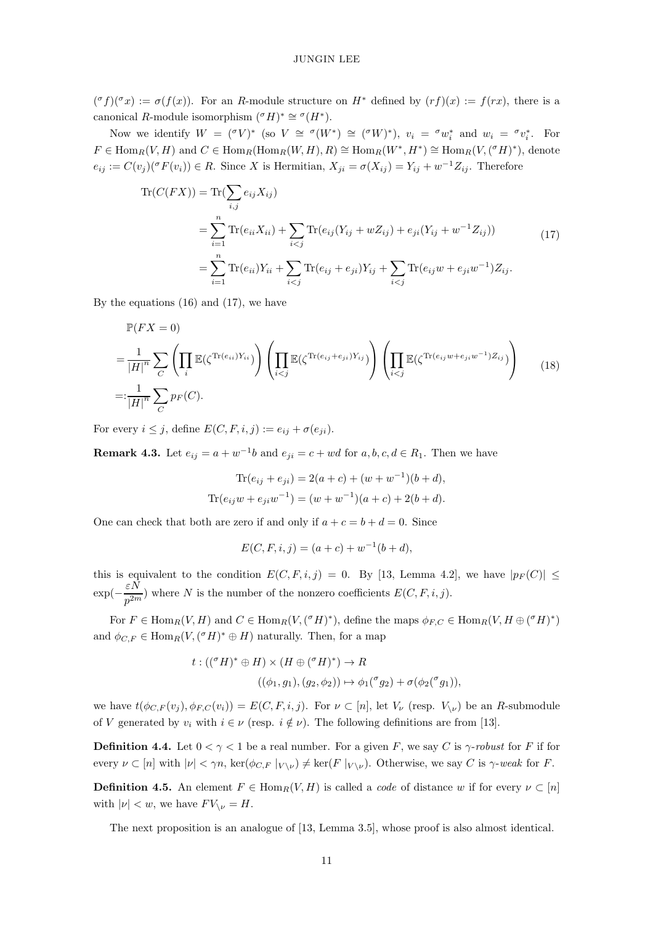$({^{\sigma}f})({^{\sigma}x}) := \sigma(f(x))$ . For an R-module structure on  $H^*$  defined by  $(rf)(x) := f(rx)$ , there is a canonical R-module isomorphism  $({^{\sigma}H})^* \cong {^{\sigma}(H^*)}$ .

Now we identify  $W = (\sigma V)^*$  (so  $V \cong \sigma(W^*) \cong (\sigma W)^*$ ),  $v_i = \sigma w_i^*$  and  $w_i = \sigma v_i^*$ . For  $F \in \text{Hom}_R(V, H)$  and  $C \in \text{Hom}_R(\text{Hom}_R(W, H), R) \cong \text{Hom}_R(W^*, H^*) \cong \text{Hom}_R(V, ({}^{\sigma}H)^*)$ , denote  $e_{ij} := C(v_j)(\sigma F(v_i)) \in R$ . Since X is Hermitian,  $X_{ji} = \sigma(X_{ij}) = Y_{ij} + w^{-1}Z_{ij}$ . Therefore

<span id="page-10-0"></span>
$$
\begin{split} \text{Tr}(C(FX)) &= \text{Tr}(\sum_{i,j} e_{ij} X_{ij}) \\ &= \sum_{i=1}^n \text{Tr}(e_{ii} X_{ii}) + \sum_{i < j} \text{Tr}(e_{ij}(Y_{ij} + w Z_{ij}) + e_{ji}(Y_{ij} + w^{-1} Z_{ij})) \\ &= \sum_{i=1}^n \text{Tr}(e_{ii}) Y_{ii} + \sum_{i < j} \text{Tr}(e_{ij} + e_{ji}) Y_{ij} + \sum_{i < j} \text{Tr}(e_{ij} w + e_{ji} w^{-1}) Z_{ij}. \end{split} \tag{17}
$$

By the equations  $(16)$  and  $(17)$ , we have

<span id="page-10-1"></span>
$$
\mathbb{P}(FX = 0)
$$
\n
$$
= \frac{1}{|H|^n} \sum_C \left( \prod_i \mathbb{E}(\zeta^{\text{Tr}(e_{ii})Y_{ii}}) \right) \left( \prod_{i < j} \mathbb{E}(\zeta^{\text{Tr}(e_{ij} + e_{ji})Y_{ij}}) \right) \left( \prod_{i < j} \mathbb{E}(\zeta^{\text{Tr}(e_{ij}w + e_{ji}w^{-1})Z_{ij}}) \right) \tag{18}
$$
\n
$$
=:\frac{1}{|H|^n} \sum_C p_F(C).
$$

For every  $i \leq j$ , define  $E(C, F, i, j) := e_{ij} + \sigma(e_{ji}).$ 

**Remark 4.3.** Let  $e_{ij} = a + w^{-1}b$  and  $e_{ji} = c + wd$  for  $a, b, c, d \in R_1$ . Then we have

$$
\text{Tr}(e_{ij} + e_{ji}) = 2(a+c) + (w+w^{-1})(b+d),
$$
  

$$
\text{Tr}(e_{ij}w + e_{ji}w^{-1}) = (w+w^{-1})(a+c) + 2(b+d).
$$

One can check that both are zero if and only if  $a + c = b + d = 0$ . Since

$$
E(C, F, i, j) = (a + c) + w^{-1}(b + d),
$$

this is equivalent to the condition  $E(C, F, i, j) = 0$ . By [\[13,](#page-20-3) Lemma 4.2], we have  $|p_F(C)| \le$  $\exp(-\frac{\varepsilon N}{n^{2m}})$  $\frac{\partial P}{\partial p^{2m}}$ ) where N is the number of the nonzero coefficients  $E(C, F, i, j)$ .

For  $F \in \text{Hom}_R(V, H)$  and  $C \in \text{Hom}_R(V, (^{\sigma}H)^*)$ , define the maps  $\phi_{F, C} \in \text{Hom}_R(V, H \oplus (^{\sigma}H)^*)$ and  $\phi_{C,F} \in \text{Hom}_R(V, (^{\sigma}H)^* \oplus H)$  naturally. Then, for a map

$$
t: (({}^{\sigma}H)^* \oplus H) \times (H \oplus ({}^{\sigma}H)^*) \to R
$$
  

$$
((\phi_1, g_1), (g_2, \phi_2)) \mapsto \phi_1({}^{\sigma}g_2) + \sigma(\phi_2({}^{\sigma}g_1)),
$$

we have  $t(\phi_{C,F}(v_i), \phi_{F,C}(v_i)) = E(C, F, i, j)$ . For  $\nu \subset [n]$ , let  $V_{\nu}$  (resp.  $V_{\nu}$ ) be an R-submodule of V generated by  $v_i$  with  $i \in \nu$  (resp.  $i \notin \nu$ ). The following definitions are from [\[13\]](#page-20-3).

**Definition 4.4.** Let  $0 < \gamma < 1$  be a real number. For a given F, we say C is  $\gamma$ -robust for F if for every  $\nu \subset [n]$  with  $|\nu| < \gamma n$ , ker $(\phi_{C,F}|_{V \setminus \nu}) \neq \ker(F|_{V \setminus \nu})$ . Otherwise, we say C is  $\gamma$ -weak for F.

**Definition 4.5.** An element  $F \in \text{Hom}_R(V, H)$  is called a *code* of distance w if for every  $\nu \subset [n]$ with  $|\nu| < w$ , we have  $F V_{\nu} = H$ .

<span id="page-10-2"></span>The next proposition is an analogue of [\[13,](#page-20-3) Lemma 3.5], whose proof is also almost identical.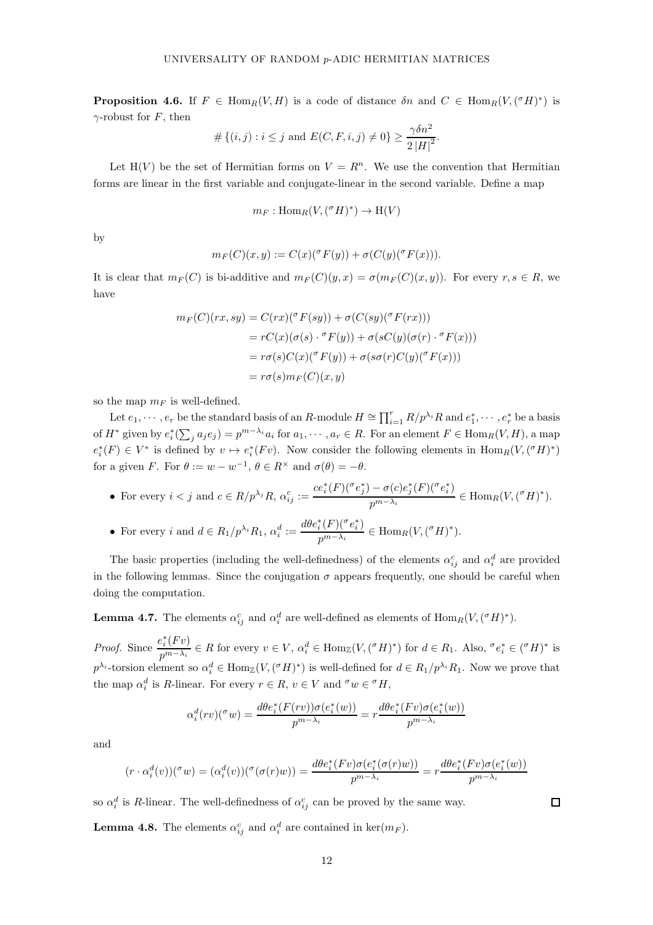**Proposition 4.6.** If  $F \in \text{Hom}_R(V, H)$  is a code of distance  $\delta n$  and  $C \in \text{Hom}_R(V, ({}^{\sigma}H)^*)$  is  $\gamma$ -robust for F, then

$$
#\{(i,j): i \leq j \text{ and } E(C, F, i, j) \neq 0\} \geq \frac{\gamma \delta n^2}{2 |H|^2}.
$$

Let H(V) be the set of Hermitian forms on  $V = R<sup>n</sup>$ . We use the convention that Hermitian forms are linear in the first variable and conjugate-linear in the second variable. Define a map

$$
m_F: \mathrm{Hom}_R(V, ({}^{\sigma}H)^*) \to \mathrm{H}(V)
$$

by

$$
m_F(C)(x,y) := C(x)({}^{\sigma} F(y)) + \sigma(C(y)({}^{\sigma} F(x))).
$$

It is clear that  $m_F(C)$  is bi-additive and  $m_F(C)(y, x) = \sigma(m_F(C)(x, y))$ . For every  $r, s \in R$ , we have

$$
m_F(C)(rx, sy) = C(rx)(^\sigma F(sy)) + \sigma(C(sy)(^\sigma F(rx)))
$$
  
= 
$$
rC(x)(\sigma(s) \cdot ^\sigma F(y)) + \sigma(sC(y)(\sigma(r) \cdot ^\sigma F(x)))
$$
  
= 
$$
r\sigma(s)C(x)(^\sigma F(y)) + \sigma(s\sigma(r)C(y)(^\sigma F(x)))
$$
  
= 
$$
r\sigma(s)m_F(C)(x, y)
$$

so the map  $m_F$  is well-defined.

Let  $e_1, \dots, e_r$  be the standard basis of an R-module  $H \cong \prod_{i=1}^r R/p^{\lambda_i}R$  and  $e_1^*, \dots, e_r^*$  be a basis of  $H^*$  given by  $e_i^*(\sum_j a_j e_j) = p^{m-\lambda_i} a_i$  for  $a_1, \dots, a_r \in R$ . For an element  $F \in \text{Hom}_R(V, H)$ , a map  $e_i^*(F) \in V^*$  is defined by  $v \mapsto e_i^*(Fv)$ . Now consider the following elements in  $\text{Hom}_R(V,({}^\sigma H)^*)$ for a given F. For  $\theta := w - w^{-1}$ ,  $\theta \in R^{\times}$  and  $\sigma(\theta) = -\theta$ .

• For every 
$$
i < j
$$
 and  $c \in R/p^{\lambda_j}R$ ,  $\alpha_{ij}^c := \frac{ce_i^*(F)(\sigma e_j^*) - \sigma(c)e_j^*(F)(\sigma e_i^*)}{p^{m-\lambda_i}} \in \text{Hom}_R(V, (\sigma H)^*).$ 

• For every 
$$
i
$$
 and  $d \in R_1/p^{\lambda_i} R_1$ ,  $\alpha_i^d := \frac{d\theta e_i^*(F)(\sigma e_i^*)}{p^{m-\lambda_i}} \in \text{Hom}_R(V, (\sigma H)^*).$ 

The basic properties (including the well-definedness) of the elements  $\alpha_{ij}^c$  and  $\alpha_i^d$  are provided in the following lemmas. Since the conjugation  $\sigma$  appears frequently, one should be careful when doing the computation.

<span id="page-11-1"></span>**Lemma 4.7.** The elements  $\alpha_{ij}^c$  and  $\alpha_i^d$  are well-defined as elements of  $\text{Hom}_R(V, ({}^{\sigma}H)^*)$ .

*Proof.* Since  $\frac{e_i^*(Fv)}{m}$  $p^{m-\lambda_i} \in R$  for every  $v \in V$ ,  $\alpha_i^d \in \text{Hom}_{\mathbb{Z}}(V,({^\sigma}H)^*)$  for  $d \in R_1$ . Also,  ${}^{\sigma}e_i^* \in ({^\sigma}H)^*$  is  $p^{\lambda_i}$ -torsion element so  $\alpha_i^d \in \text{Hom}_{\mathbb{Z}}(V, (\sigma H)^*)$  is well-defined for  $d \in R_1/p^{\lambda_i}R_1$ . Now we prove that the map  $\alpha_i^d$  is R-linear. For every  $r \in R$ ,  $v \in V$  and  $\sigma w \in \sigma H$ ,

$$
\alpha_i^d(rv)(^\sigma w) = \frac{d\theta e_i^*(F(rv))\sigma(e_i^*(w))}{p^{m-\lambda_i}} = r \frac{d\theta e_i^*(Fv)\sigma(e_i^*(w))}{p^{m-\lambda_i}}
$$

and

$$
(r \cdot \alpha_i^d(v))({}^\sigma w) = (\alpha_i^d(v))({}^\sigma (\sigma(r)w)) = \frac{d\theta e_i^*(Fv)\sigma(e_i^*(\sigma(r)w))}{p^{m-\lambda_i}} = r\frac{d\theta e_i^*(Fv)\sigma(e_i^*(w))}{p^{m-\lambda_i}}
$$

<span id="page-11-0"></span>so  $\alpha_i^d$  is R-linear. The well-definedness of  $\alpha_{ij}^c$  can be proved by the same way.

**Lemma 4.8.** The elements  $\alpha_{ij}^c$  and  $\alpha_i^d$  are contained in ker $(m_F)$ .

 $\Box$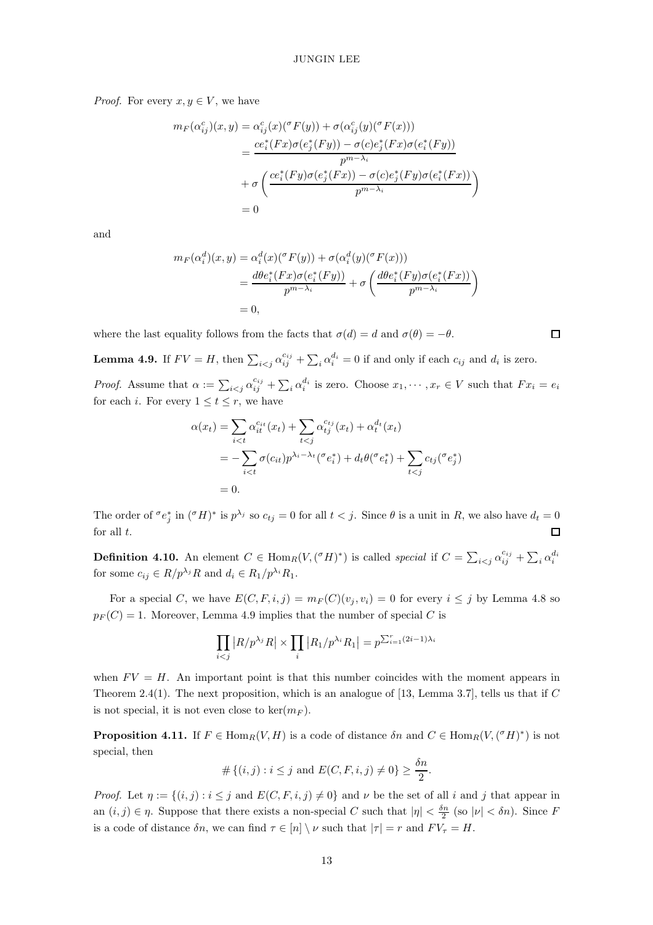*Proof.* For every  $x, y \in V$ , we have

$$
m_F(\alpha_{ij}^c)(x, y) = \alpha_{ij}^c(x)({^\sigma}F(y)) + \sigma(\alpha_{ij}^c(y)({^\sigma}F(x)))
$$
  
= 
$$
\frac{ce_i^*(Fx)\sigma(e_j^*(Fy)) - \sigma(c)e_j^*(Fx)\sigma(e_i^*(Fy))}{p^{m-\lambda_i}}
$$
  
+ 
$$
\sigma\left(\frac{ce_i^*(Fy)\sigma(e_j^*(Fx)) - \sigma(c)e_j^*(Fy)\sigma(e_i^*(Fx))}{p^{m-\lambda_i}}\right)
$$
  
= 0

and

$$
m_F(\alpha_i^d)(x, y) = \alpha_i^d(x)({^\sigma}F(y)) + \sigma(\alpha_i^d(y)({^\sigma}F(x)))
$$
  
= 
$$
\frac{d\theta e_i^*(Fx)\sigma(e_i^*(Fy))}{p^{m-\lambda_i}} + \sigma\left(\frac{d\theta e_i^*(Fy)\sigma(e_i^*(Fx))}{p^{m-\lambda_i}}\right)
$$
  
= 0,

<span id="page-12-0"></span>where the last equality follows from the facts that  $\sigma(d) = d$  and  $\sigma(\theta) = -\theta$ .

 $\Box$ 

**Lemma 4.9.** If  $FV = H$ , then  $\sum_{i < j} \alpha_{ij}^{c_{ij}} + \sum_{i} \alpha_{i}^{d_{i}} = 0$  if and only if each  $c_{ij}$  and  $d_{i}$  is zero.

*Proof.* Assume that  $\alpha := \sum_{i < j} \alpha_{ij}^{c_{ij}} + \sum_{i} \alpha_{i}^{d_{i}}$  is zero. Choose  $x_1, \dots, x_r \in V$  such that  $Fx_i = e_i$ for each *i*. For every  $1 \le t \le r$ , we have

$$
\alpha(x_t) = \sum_{i < t} \alpha_{it}^{c_{it}}(x_t) + \sum_{t < j} \alpha_{tj}^{c_{tj}}(x_t) + \alpha_t^{d_t}(x_t)
$$
\n
$$
= -\sum_{i < t} \sigma(c_{it}) p^{\lambda_i - \lambda_t} (\sigma e_i^*) + d_t \theta(\sigma e_i^*) + \sum_{t < j} c_{tj} (\sigma e_j^*)
$$
\n
$$
= 0.
$$

The order of  $\sigma e_j^*$  in  $({}^{\sigma}H)^*$  is  $p^{\lambda_j}$  so  $c_{tj} = 0$  for all  $t < j$ . Since  $\theta$  is a unit in R, we also have  $d_t = 0$ for all  $t$ . П

**Definition 4.10.** An element  $C \in \text{Hom}_R(V, (^\sigma H)^*)$  is called special if  $C = \sum_{i < j} \alpha_{ij}^{c_{ij}} + \sum_i \alpha_i^{d_i}$ for some  $c_{ij} \in R/p^{\lambda_j}R$  and  $d_i \in R_1/p^{\lambda_i}R_1$ .

For a special C, we have  $E(C, F, i, j) = m_F(C)(v_j, v_i) = 0$  for every  $i \leq j$  by Lemma [4.8](#page-11-0) so  $p_F(C) = 1$ . Moreover, Lemma [4.9](#page-12-0) implies that the number of special C is

$$
\prod_{i < j} |R/p^{\lambda_j} R| \times \prod_i |R_1/p^{\lambda_i} R_1| = p^{\sum_{i=1}^r (2i-1)\lambda_i}
$$

when  $FV = H$ . An important point is that this number coincides with the moment appears in Theorem [2.4\(](#page-6-0)1). The next proposition, which is an analogue of [\[13,](#page-20-3) Lemma 3.7], tells us that if  $C$ is not special, it is not even close to ker $(m_F)$ .

<span id="page-12-1"></span>**Proposition 4.11.** If  $F \in \text{Hom}_R(V, H)$  is a code of distance  $\delta n$  and  $C \in \text{Hom}_R(V, ({}^{\sigma}H)^*)$  is not special, then

$$
# \{(i, j) : i \leq j \text{ and } E(C, F, i, j) \neq 0\} \geq \frac{\delta n}{2}.
$$

*Proof.* Let  $\eta := \{(i, j) : i \leq j \text{ and } E(C, F, i, j) \neq 0\}$  and  $\nu$  be the set of all i and j that appear in an  $(i, j) \in \eta$ . Suppose that there exists a non-special C such that  $|\eta| < \frac{\delta n}{2}$  (so  $|\nu| < \delta n$ ). Since F is a code of distance  $\delta n$ , we can find  $\tau \in [n] \setminus \nu$  such that  $|\tau| = r$  and  $FV_\tau = H$ .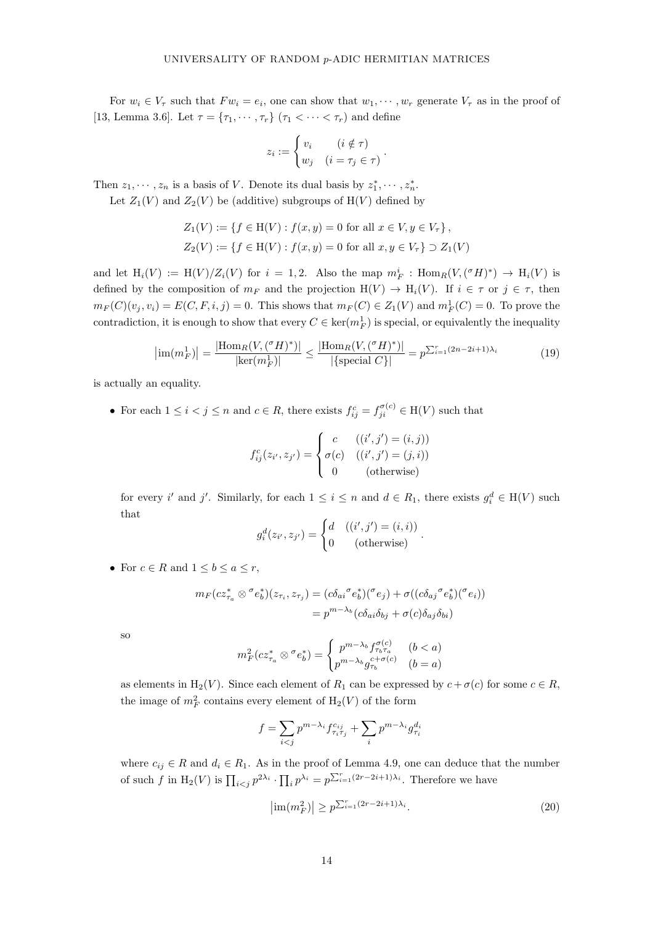For  $w_i \in V_\tau$  such that  $Fw_i = e_i$ , one can show that  $w_1, \dots, w_r$  generate  $V_\tau$  as in the proof of [\[13,](#page-20-3) Lemma 3.6]. Let  $\tau = {\tau_1, \cdots, \tau_r}$   $(\tau_1 < \cdots < \tau_r)$  and define

$$
z_i := \begin{cases} v_i & (i \notin \tau) \\ w_j & (i = \tau_j \in \tau) \end{cases}.
$$

Then  $z_1, \dots, z_n$  is a basis of V. Denote its dual basis by  $z_1^*, \dots, z_n^*$ .

Let  $Z_1(V)$  and  $Z_2(V)$  be (additive) subgroups of  $H(V)$  defined by

$$
Z_1(V) := \{ f \in H(V) : f(x, y) = 0 \text{ for all } x \in V, y \in V_\tau \},
$$
  

$$
Z_2(V) := \{ f \in H(V) : f(x, y) = 0 \text{ for all } x, y \in V_\tau \} \supset Z_1(V)
$$

and let  $H_i(V) := H(V)/Z_i(V)$  for  $i = 1, 2$ . Also the map  $m_F^i : Hom_R(V, ({}^{\sigma}H)^*) \to H_i(V)$  is defined by the composition of  $m_F$  and the projection  $H(V) \to H_i(V)$ . If  $i \in \tau$  or  $j \in \tau$ , then  $m_F(C)(v_j, v_i) = E(C, F, i, j) = 0$ . This shows that  $m_F(C) \in Z_1(V)$  and  $m_F^1(C) = 0$ . To prove the contradiction, it is enough to show that every  $C \in \text{ker}(m_F^1)$  is special, or equivalently the inequality

$$
\left| \text{im}(m_F^1) \right| = \frac{\left| \text{Hom}_R(V, (^\sigma H)^*) \right|}{\left| \text{ker}(m_F^1) \right|} \le \frac{\left| \text{Hom}_R(V, (^\sigma H)^*) \right|}{\left| \text{special } C \right|} = p^{\sum_{i=1}^r (2n - 2i + 1)\lambda_i}
$$
(19)

is actually an equality.

• For each  $1 \leq i < j \leq n$  and  $c \in R$ , there exists  $f_{ij}^c = f_{ji}^{\sigma(c)} \in H(V)$  such that

$$
f_{ij}^c(z_{i'}, z_{j'}) = \begin{cases} c & ((i', j') = (i, j)) \\ \sigma(c) & ((i', j') = (j, i)) \\ 0 & (\text{otherwise}) \end{cases}
$$

for every i' and j'. Similarly, for each  $1 \leq i \leq n$  and  $d \in R_1$ , there exists  $g_i^d \in H(V)$  such that

$$
g_i^d(z_{i'}, z_{j'}) = \begin{cases} d & ((i', j') = (i, i)) \\ 0 & (\text{otherwise}) \end{cases}
$$

• For  $c \in R$  and  $1 \leq b \leq a \leq r$ ,

$$
m_F(cz_{\tau_a}^* \otimes \sigma e_b^*)(z_{\tau_i}, z_{\tau_j}) = (c\delta_{ai}\sigma e_b^*)(\sigma e_j) + \sigma((c\delta_{aj}\sigma e_b^*)(\sigma e_i))
$$
  
=  $p^{m-\lambda_b}(c\delta_{ai}\delta_{bj} + \sigma(c)\delta_{aj}\delta_{bi})$ 

so

$$
m_F^2(cz_{\tau_a}^* \otimes \sigma e_b^*) = \begin{cases} p^{m-\lambda_b} f_{\tau_b \tau_a}^{\sigma(c)} & (b < a) \\ p^{m-\lambda_b} g_{\tau_b}^{c+\sigma(c)} & (b = a) \end{cases}
$$

as elements in H<sub>2</sub>(V). Since each element of  $R_1$  can be expressed by  $c + \sigma(c)$  for some  $c \in R$ , the image of  $m_F^2$  contains every element of  $H_2(V)$  of the form

$$
f = \sum_{i < j} p^{m - \lambda_i} f_{\tau_i \tau_j}^{c_{ij}} + \sum_i p^{m - \lambda_i} g_{\tau_i}^{d_i}
$$

where  $c_{ii} \in R$  and  $d_i \in R_1$ . As in the proof of Lemma [4.9,](#page-12-0) one can deduce that the number of such f in  $H_2(V)$  is  $\prod_{i < j} p^{2\lambda_i} \cdot \prod_i p^{\lambda_i} = p^{\sum_{i=1}^r (2r-2i+1)\lambda_i}$ . Therefore we have

<span id="page-13-0"></span>
$$
\left|\operatorname{im}(m_F^2)\right| \ge p^{\sum_{i=1}^r (2r-2i+1)\lambda_i}.\tag{20}
$$

<span id="page-13-1"></span>.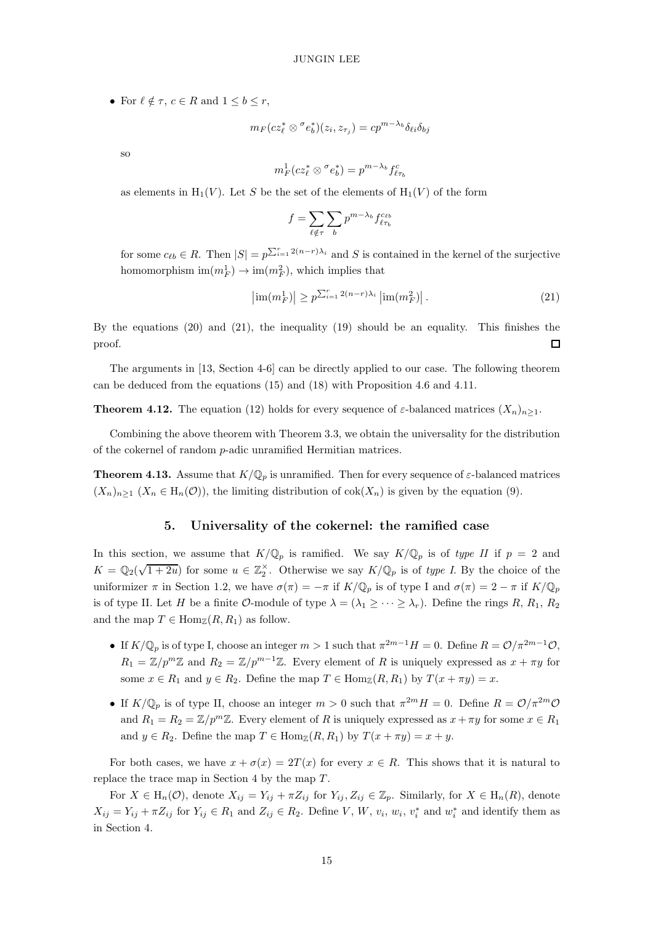• For  $\ell \notin \tau$ ,  $c \in R$  and  $1 \leq b \leq r$ ,

$$
m_F(c z_\ell^* \otimes \sigma e_b^*)(z_i, z_{\tau_j}) = c p^{m - \lambda_b} \delta_{\ell i} \delta_{bj}
$$

so

$$
m_F^1(c z_\ell^* \otimes \sigma e_b^*) = p^{m-\lambda_b} f_{\ell \tau_b}^c
$$

as elements in  $H_1(V)$ . Let S be the set of the elements of  $H_1(V)$  of the form

<span id="page-14-4"></span>
$$
f = \sum_{\ell \notin \tau} \sum_b p^{m - \lambda_b} f_{\ell \tau_b}^{c_{\ell b}}
$$

for some  $c_{\ell b} \in R$ . Then  $|S| = p^{\sum_{i=1}^{r} 2(n-r)\lambda_i}$  and S is contained in the kernel of the surjective homomorphism  $\text{im}(m_F^1) \to \text{im}(m_F^2)$ , which implies that

$$
\left| \text{im}(m_F^1) \right| \ge p^{\sum_{i=1}^r 2(n-r)\lambda_i} \left| \text{im}(m_F^2) \right|.
$$
 (21)

By the equations [\(20\)](#page-13-0) and [\(21\)](#page-14-4), the inequality [\(19\)](#page-13-1) should be an equality. This finishes the proof.  $\Box$ 

<span id="page-14-2"></span>The arguments in [\[13,](#page-20-3) Section 4-6] can be directly applied to our case. The following theorem can be deduced from the equations [\(15\)](#page-9-3) and [\(18\)](#page-10-1) with Proposition [4.6](#page-10-2) and [4.11.](#page-12-1)

**Theorem 4.12.** The equation [\(12\)](#page-6-1) holds for every sequence of  $\varepsilon$ -balanced matrices  $(X_n)_{n\geq 1}$ .

<span id="page-14-1"></span>Combining the above theorem with Theorem [3.3,](#page-8-1) we obtain the universality for the distribution of the cokernel of random  $p$ -adic unramified Hermitian matrices.

<span id="page-14-3"></span>**Theorem 4.13.** Assume that  $K/\mathbb{Q}_p$  is unramified. Then for every sequence of  $\varepsilon$ -balanced matrices  $(X_n)_{n>1}$   $(X_n \in H_n(\mathcal{O}))$ , the limiting distribution of  $cok(X_n)$  is given by the equation [\(9\)](#page-4-1).

# 5. Universality of the cokernel: the ramified case

In this section, we assume that  $K/\mathbb{Q}_p$  is ramified. We say  $K/\mathbb{Q}_p$  is of type II if  $p = 2$  and  $K = \mathbb{Q}_2(\sqrt{1+2u})$  for some  $u \in \mathbb{Z}_2^{\times}$ . Otherwise we say  $K/\mathbb{Q}_p$  is of type I. By the choice of the uniformizer  $\pi$  in Section [1.2,](#page-1-1) we have  $\sigma(\pi) = -\pi$  if  $K/\mathbb{Q}_p$  is of type I and  $\sigma(\pi) = 2 - \pi$  if  $K/\mathbb{Q}_p$ is of type II. Let H be a finite O-module of type  $\lambda = (\lambda_1 \geq \cdots \geq \lambda_r)$ . Define the rings R, R<sub>1</sub>, R<sub>2</sub> and the map  $T \in \text{Hom}_{\mathbb{Z}}(R, R_1)$  as follow.

- If  $K/\mathbb{Q}_p$  is of type I, choose an integer  $m>1$  such that  $\pi^{2m-1}H=0$ . Define  $R=\mathcal{O}/\pi^{2m-1}\mathcal{O}$ ,  $R_1 = \mathbb{Z}/p^m\mathbb{Z}$  and  $R_2 = \mathbb{Z}/p^{m-1}\mathbb{Z}$ . Every element of R is uniquely expressed as  $x + \pi y$  for some  $x \in R_1$  and  $y \in R_2$ . Define the map  $T \in \text{Hom}_{\mathbb{Z}}(R, R_1)$  by  $T(x + \pi y) = x$ .
- If  $K/\mathbb{Q}_p$  is of type II, choose an integer  $m > 0$  such that  $\pi^{2m}H = 0$ . Define  $R = \mathcal{O}/\pi^{2m}\mathcal{O}$ and  $R_1 = R_2 = \mathbb{Z}/p^m\mathbb{Z}$ . Every element of R is uniquely expressed as  $x + \pi y$  for some  $x \in R_1$ and  $y \in R_2$ . Define the map  $T \in \text{Hom}_{\mathbb{Z}}(R, R_1)$  by  $T(x + \pi y) = x + y$ .

For both cases, we have  $x + \sigma(x) = 2T(x)$  for every  $x \in R$ . This shows that it is natural to replace the trace map in Section [4](#page-9-1) by the map  $T$ .

<span id="page-14-0"></span>For  $X \in H_n(\mathcal{O})$ , denote  $X_{ij} = Y_{ij} + \pi Z_{ij}$  for  $Y_{ij}, Z_{ij} \in \mathbb{Z}_p$ . Similarly, for  $X \in H_n(R)$ , denote  $X_{ij} = Y_{ij} + \pi Z_{ij}$  for  $Y_{ij} \in R_1$  and  $Z_{ij} \in R_2$ . Define V, W,  $v_i$ ,  $w_i$ ,  $v_i^*$  and  $w_i^*$  and identify them as in Section [4.](#page-9-1)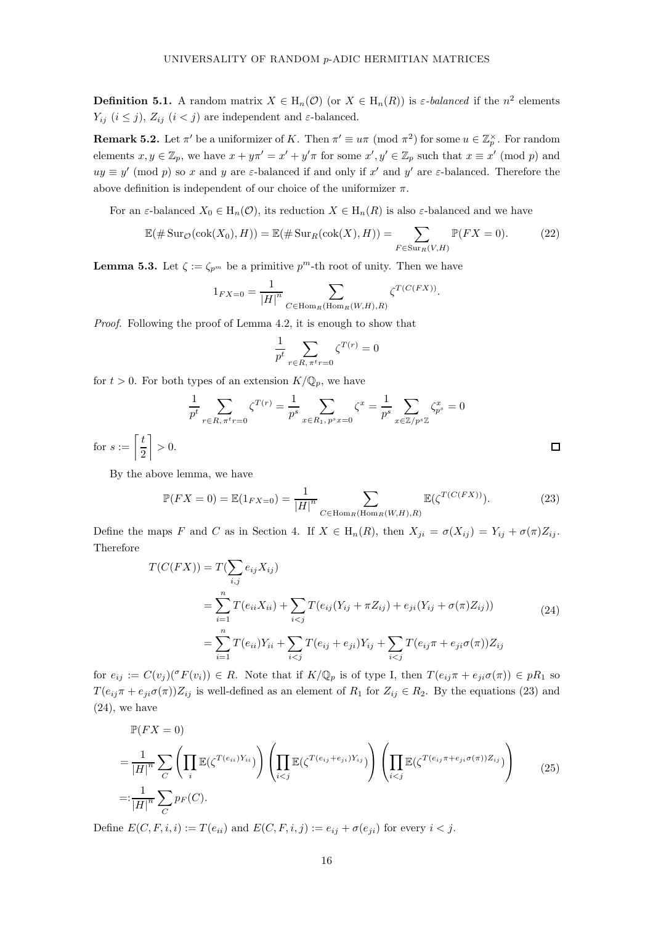**Definition 5.1.** A random matrix  $X \in H_n(\mathcal{O})$  (or  $X \in H_n(R)$ ) is  $\varepsilon$ -balanced if the  $n^2$  elements  $Y_{ij}$   $(i \leq j)$ ,  $Z_{ij}$   $(i < j)$  are independent and  $\varepsilon$ -balanced.

**Remark 5.2.** Let  $\pi'$  be a uniformizer of K. Then  $\pi' \equiv u\pi \pmod{\pi^2}$  for some  $u \in \mathbb{Z}_p^{\times}$ . For random elements  $x, y \in \mathbb{Z}_p$ , we have  $x + y\pi' = x' + y'\pi$  for some  $x', y' \in \mathbb{Z}_p$  such that  $x \equiv x' \pmod{p}$  and  $uy \equiv y' \pmod{p}$  so x and y are  $\varepsilon$ -balanced if and only if x' and y' are  $\varepsilon$ -balanced. Therefore the above definition is independent of our choice of the uniformizer  $\pi$ .

For an  $\varepsilon$ -balanced  $X_0 \in H_n(\mathcal{O})$ , its reduction  $X \in H_n(R)$  is also  $\varepsilon$ -balanced and we have

$$
\mathbb{E}(\#\operatorname{Sur}_{\mathcal{O}}(\operatorname{cok}(X_0), H)) = \mathbb{E}(\#\operatorname{Sur}_R(\operatorname{cok}(X), H)) = \sum_{F \in \operatorname{Sur}_R(V, H)} \mathbb{P}(FX = 0).
$$
 (22)

**Lemma 5.3.** Let  $\zeta := \zeta_{p^m}$  be a primitive  $p^m$ -th root of unity. Then we have

$$
1_{FX=0} = \frac{1}{|H|^n} \sum_{C \in \text{Hom}_R(\text{Hom}_R(W,H),R)} \zeta^{T(C(FX))}.
$$

Proof. Following the proof of Lemma [4.2,](#page-9-4) it is enough to show that

<span id="page-15-2"></span>
$$
\frac{1}{p^t} \sum_{r \in R, \pi^t r = 0} \zeta^{T(r)} = 0
$$

for  $t > 0$ . For both types of an extension  $K/\mathbb{Q}_p$ , we have

$$
\frac{1}{p^t} \sum_{r \in R, \pi^t r = 0} \zeta^{T(r)} = \frac{1}{p^s} \sum_{x \in R_1, p^s x = 0} \zeta^x = \frac{1}{p^s} \sum_{x \in \mathbb{Z}/p^s \mathbb{Z}} \zeta^{x}_{p^s} = 0
$$
\n
$$
= \left\lceil \frac{t}{2} \right\rceil > 0.
$$

for  $s$  :

By the above lemma, we have

<span id="page-15-0"></span>
$$
\mathbb{P}(FX = 0) = \mathbb{E}(1_{FX=0}) = \frac{1}{|H|^n} \sum_{C \in \text{Hom}_R(\text{Hom}_R(W, H), R)} \mathbb{E}(\zeta^{T(C(FX))}).
$$
 (23)

Define the maps F and C as in Section [4.](#page-9-1) If  $X \in H_n(R)$ , then  $X_{ji} = \sigma(X_{ij}) = Y_{ij} + \sigma(\pi)Z_{ij}$ . Therefore

<span id="page-15-1"></span>
$$
T(C(FX)) = T(\sum_{i,j} e_{ij} X_{ij})
$$
  
= 
$$
\sum_{i=1}^{n} T(e_{ii} X_{ii}) + \sum_{i < j} T(e_{ij} (Y_{ij} + \pi Z_{ij}) + e_{ji} (Y_{ij} + \sigma(\pi) Z_{ij}))
$$
  
= 
$$
\sum_{i=1}^{n} T(e_{ii}) Y_{ii} + \sum_{i < j} T(e_{ij} + e_{ji}) Y_{ij} + \sum_{i < j} T(e_{ij} \pi + e_{ji} \sigma(\pi)) Z_{ij}
$$
 (24)

for  $e_{ij} := C(v_j)(\sigma F(v_i)) \in R$ . Note that if  $K/\mathbb{Q}_p$  is of type I, then  $T(e_{ij}\pi + e_{ji}\sigma(\pi)) \in pR_1$  so  $T(e_{ij}\pi + e_{ji}\sigma(\pi))Z_{ij}$  is well-defined as an element of  $R_1$  for  $Z_{ij} \in R_2$ . By the equations [\(23\)](#page-15-0) and [\(24\)](#page-15-1), we have

<span id="page-15-3"></span>
$$
\mathbb{P}(FX = 0)
$$
\n
$$
= \frac{1}{|H|^n} \sum_C \left( \prod_i \mathbb{E}(\zeta^{T(e_{ii})Y_{ii}}) \right) \left( \prod_{i < j} \mathbb{E}(\zeta^{T(e_{ij} + e_{ji})Y_{ij}}) \right) \left( \prod_{i < j} \mathbb{E}(\zeta^{T(e_{ij} \pi + e_{ji} \sigma(\pi))Z_{ij}}) \right) \tag{25}
$$
\n
$$
=: \frac{1}{|H|^n} \sum_C p_F(C).
$$

Define  $E(C, F, i, i) := T(e_{ii})$  and  $E(C, F, i, j) := e_{ij} + \sigma(e_{ji})$  for every  $i < j$ .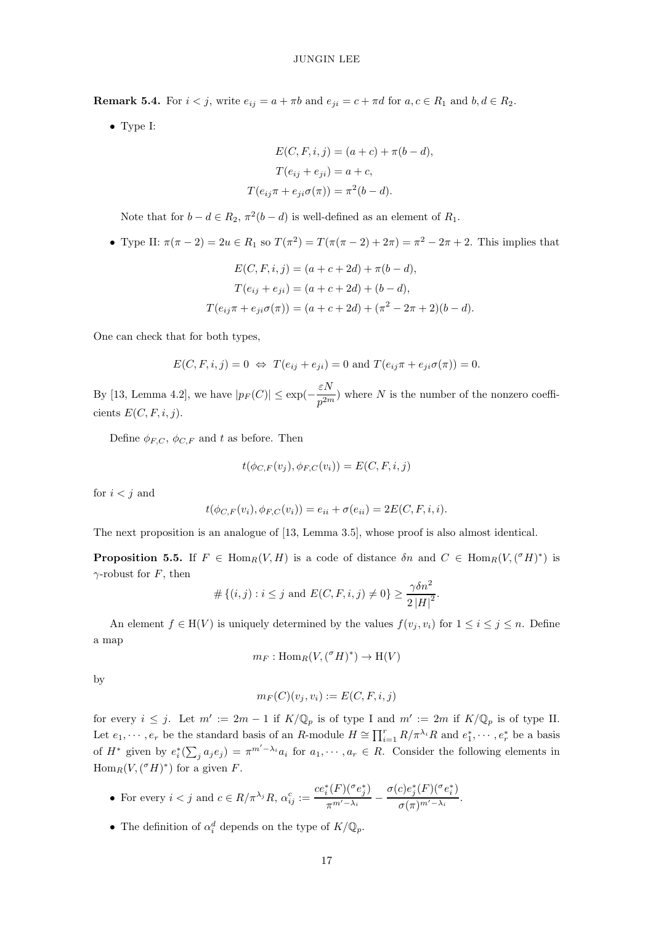**Remark 5.4.** For  $i < j$ , write  $e_{ij} = a + \pi b$  and  $e_{ji} = c + \pi d$  for  $a, c \in R_1$  and  $b, d \in R_2$ .

• Type I:

$$
E(C, F, i, j) = (a + c) + \pi(b - d),
$$
  
\n
$$
T(e_{ij} + e_{ji}) = a + c,
$$
  
\n
$$
T(e_{ij}\pi + e_{ji}\sigma(\pi)) = \pi^2(b - d).
$$

Note that for  $b - d \in R_2$ ,  $\pi^2(b - d)$  is well-defined as an element of  $R_1$ .

• Type II:  $\pi(\pi - 2) = 2u \in R_1$  so  $T(\pi^2) = T(\pi(\pi - 2) + 2\pi) = \pi^2 - 2\pi + 2$ . This implies that

$$
E(C, F, i, j) = (a + c + 2d) + \pi(b - d),
$$
  
\n
$$
T(e_{ij} + e_{ji}) = (a + c + 2d) + (b - d),
$$
  
\n
$$
T(e_{ij}\pi + e_{ji}\sigma(\pi)) = (a + c + 2d) + (\pi^2 - 2\pi + 2)(b - d).
$$

One can check that for both types,

$$
E(C, F, i, j) = 0 \Leftrightarrow T(e_{ij} + e_{ji}) = 0 \text{ and } T(e_{ij}\pi + e_{ji}\sigma(\pi)) = 0.
$$

By [\[13,](#page-20-3) Lemma 4.2], we have  $|p_F(C)| \le \exp(-\frac{\varepsilon N}{n^{2m}})$  $\frac{\partial^2 P}{\partial p^2}$  where N is the number of the nonzero coefficients  $E(C, F, i, j)$ .

Define  $\phi_{F,C}, \phi_{C,F}$  and t as before. Then

$$
t(\phi_{C,F}(v_j), \phi_{F,C}(v_i)) = E(C, F, i, j)
$$

for  $i < j$  and

$$
t(\phi_{C,F}(v_i), \phi_{F,C}(v_i)) = e_{ii} + \sigma(e_{ii}) = 2E(C, F, i, i).
$$

<span id="page-16-0"></span>The next proposition is an analogue of [\[13,](#page-20-3) Lemma 3.5], whose proof is also almost identical.

**Proposition 5.5.** If  $F \in \text{Hom}_R(V, H)$  is a code of distance  $\delta n$  and  $C \in \text{Hom}_R(V, ({}^{\sigma}H)^*)$  is  $\gamma$ -robust for F, then

$$
# \{(i,j) : i \leq j \text{ and } E(C, F, i, j) \neq 0\} \geq \frac{\gamma \delta n^2}{2 |H|^2}.
$$

An element  $f \in H(V)$  is uniquely determined by the values  $f(v_i, v_i)$  for  $1 \leq i \leq j \leq n$ . Define a map

$$
m_F: \operatorname{Hom}_R(V, ({}^\sigma H)^*) \to \operatorname{H}(V)
$$

by

$$
m_F(C)(v_j, v_i) := E(C, F, i, j)
$$

for every  $i \leq j$ . Let  $m' := 2m - 1$  if  $K/\mathbb{Q}_p$  is of type I and  $m' := 2m$  if  $K/\mathbb{Q}_p$  is of type II. Let  $e_1, \dots, e_r$  be the standard basis of an R-module  $H \cong \prod_{i=1}^r R/\pi^{\lambda_i}R$  and  $e_1^*, \dots, e_r^*$  be a basis of  $H^*$  given by  $e_i^*(\sum_j a_j e_j) = \pi^{m'-\lambda_i} a_i$  for  $a_1, \dots, a_r \in R$ . Consider the following elements in  $\text{Hom}_R(V, ({}^{\sigma}H)^*)$  for a given F.

- For every  $i < j$  and  $c \in R/\pi^{\lambda_j}R$ ,  $\alpha_{ij}^c :=$  $ce_i^*(F)(\sigma e_j^*)$  $\frac{1}{\pi^{m'-\lambda_i}}$  –  $\sigma(c)e_j^*(F)(\sigma e_i^*)$  $\frac{\sigma(\pi)^{m'-\lambda_i}}{\sigma(\pi)^{m'-\lambda_i}}$ .
- The definition of  $\alpha_i^d$  depends on the type of  $K/\mathbb{Q}_p$ .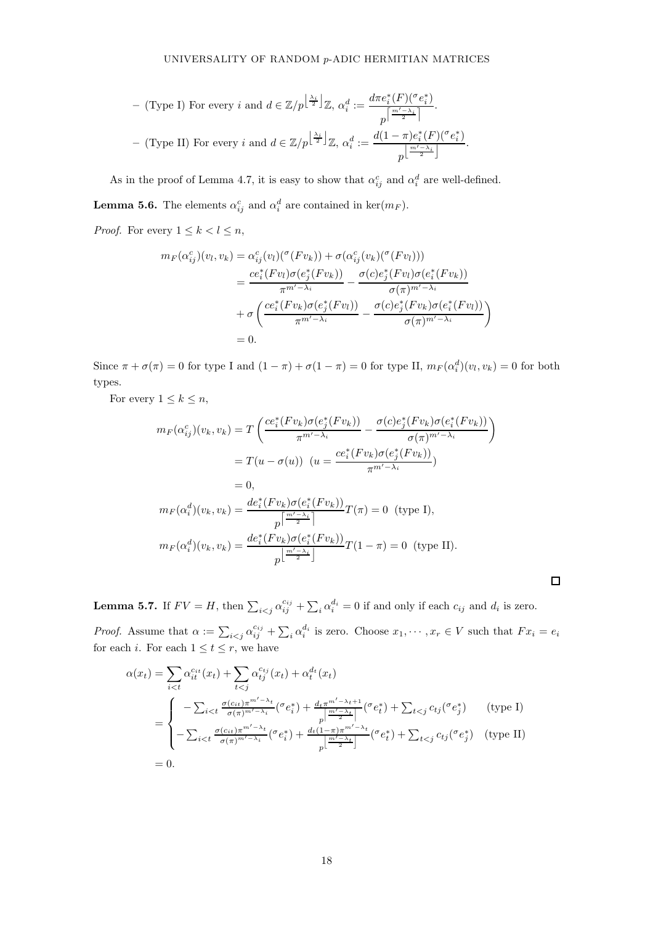$$
- \text{ (Type I) For every } i \text{ and } d \in \mathbb{Z}/p^{\left\lfloor \frac{\lambda_i}{2} \right\rfloor} \mathbb{Z}, \ \alpha_i^d := \frac{d\pi e_i^*(F)^{(\sigma} e_i^*)}{p^{\left\lceil \frac{m'-\lambda_i}{2} \right\rceil}}.
$$
\n
$$
- \text{ (Type II) For every } i \text{ and } d \in \mathbb{Z}/p^{\left\lfloor \frac{\lambda_i}{2} \right\rfloor} \mathbb{Z}, \ \alpha_i^d := \frac{d(1-\pi)e_i^*(F)^{(\sigma} e_i^*)}{p^{\left\lfloor \frac{m'-\lambda_i}{2} \right\rfloor}}.
$$

<span id="page-17-0"></span>As in the proof of Lemma [4.7,](#page-11-1) it is easy to show that  $\alpha_{ij}^c$  and  $\alpha_i^d$  are well-defined. **Lemma 5.6.** The elements  $\alpha_{ij}^c$  and  $\alpha_i^d$  are contained in ker $(m_F)$ .

*Proof.* For every  $1 \leq k < l \leq n$ ,

$$
m_F(\alpha_{ij}^c)(v_l, v_k) = \alpha_{ij}^c(v_l)(\sigma(Fv_k)) + \sigma(\alpha_{ij}^c(v_k)(\sigma(Fv_l)))
$$
  
\n
$$
= \frac{ce_i^*(Fv_l)\sigma(e_j^*(Fv_k))}{\pi^{m'-\lambda_i}} - \frac{\sigma(c)e_j^*(Fv_l)\sigma(e_i^*(Fv_k))}{\sigma(\pi)^{m'-\lambda_i}}
$$
  
\n
$$
+ \sigma\left(\frac{ce_i^*(Fv_k)\sigma(e_j^*(Fv_l))}{\pi^{m'-\lambda_i}} - \frac{\sigma(c)e_j^*(Fv_k)\sigma(e_i^*(Fv_l))}{\sigma(\pi)^{m'-\lambda_i}}\right)
$$
  
\n= 0.

Since  $\pi + \sigma(\pi) = 0$  for type I and  $(1 - \pi) + \sigma(1 - \pi) = 0$  for type II,  $m_F(\alpha_i^d)(v_i, v_k) = 0$  for both types.

For every  $1 \leq k \leq n$ ,

$$
m_F(\alpha_{ij}^c)(v_k, v_k) = T\left(\frac{ce_i^*(Fv_k)\sigma(e_j^*(Fv_k))}{\pi^{m'-\lambda_i}} - \frac{\sigma(c)e_j^*(Fv_k)\sigma(e_i^*(Fv_k))}{\sigma(\pi)^{m'-\lambda_i}}\right)
$$
  
\n
$$
= T(u - \sigma(u)) \quad (u = \frac{ce_i^*(Fv_k)\sigma(e_j^*(Fv_k))}{\pi^{m'-\lambda_i}})
$$
  
\n
$$
= 0,
$$
  
\n
$$
m_F(\alpha_i^d)(v_k, v_k) = \frac{de_i^*(Fv_k)\sigma(e_i^*(Fv_k))}{\pi^{\frac{m'-\lambda_i}{2}}}T(\pi) = 0 \quad \text{(type I)},
$$
  
\n
$$
m_F(\alpha_i^d)(v_k, v_k) = \frac{de_i^*(Fv_k)\sigma(e_i^*(Fv_k))}{\pi^{\frac{m'-\lambda_i}{2}}}T(1 - \pi) = 0 \quad \text{(type II)}.
$$

 $\Box$ 

<span id="page-17-1"></span>**Lemma 5.7.** If  $FV = H$ , then  $\sum_{i < j} \alpha_{ij}^{c_{ij}} + \sum_{i} \alpha_{i}^{d_{i}} = 0$  if and only if each  $c_{ij}$  and  $d_{i}$  is zero.

*Proof.* Assume that  $\alpha := \sum_{i < j} \alpha_{ij}^{c_{ij}} + \sum_{i} \alpha_{i}^{d_{i}}$  is zero. Choose  $x_1, \dots, x_r \in V$  such that  $Fx_i = e_i$ for each *i*. For each  $1 \le t \le r$ , we have

$$
\alpha(x_t) = \sum_{i < t} \alpha_{it}^{c_{it}}(x_t) + \sum_{t < j} \alpha_{tj}^{c_{tj}}(x_t) + \alpha_t^{d_t}(x_t)
$$
\n
$$
= \begin{cases}\n-\sum_{i < t} \frac{\sigma(c_{it})\pi^{m'-\lambda_t}}{\sigma(\pi)^{m'-\lambda_t}} (\sigma e_i^*) + \frac{d_t\pi^{m'-\lambda_t+1}}{\pi^{m'-\lambda_t-1}} (\sigma e_i^*) + \sum_{t < j} c_{tj} (\sigma e_j^*) \qquad \text{(type I)} \\
-\sum_{i < t} \frac{\sigma(c_{it})\pi^{m'-\lambda_t}}{\sigma(\pi)^{m'-\lambda_t}} (\sigma e_i^*) + \frac{d_t(1-\pi)^{m'-\lambda_t}}{\pi^{m'-\lambda_t}} (\sigma e_i^*) + \sum_{t < j} c_{tj} (\sigma e_j^*) \qquad \text{(type II)} \\
= 0.\n\end{cases}
$$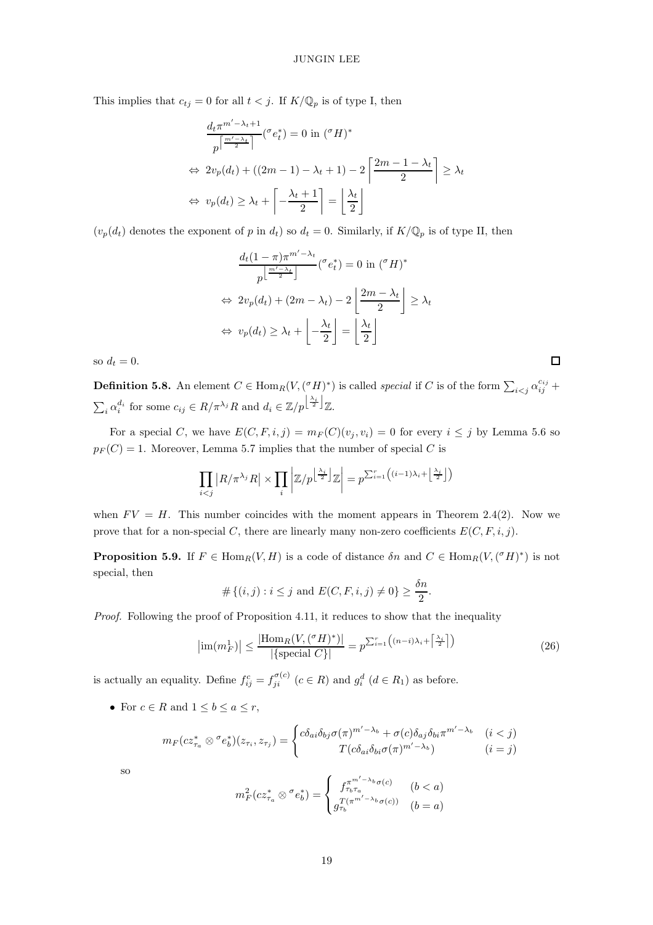This implies that  $c_{tj} = 0$  for all  $t < j$ . If  $K/\mathbb{Q}_p$  is of type I, then

$$
\frac{d_t \pi^{m'-\lambda_t+1}}{p^{\left\lceil \frac{m'-\lambda_t}{2} \right\rceil}} \left( \sigma e_t^* \right) = 0 \text{ in } (\sigma H)^*
$$
\n
$$
\Leftrightarrow 2v_p(d_t) + ((2m-1) - \lambda_t + 1) - 2\left\lceil \frac{2m-1-\lambda_t}{2} \right\rceil \ge \lambda_t
$$
\n
$$
\Leftrightarrow v_p(d_t) \ge \lambda_t + \left\lceil -\frac{\lambda_t + 1}{2} \right\rceil = \left\lfloor \frac{\lambda_t}{2} \right\rfloor
$$

 $(v_p(d_t)$  denotes the exponent of p in  $d_t$ ) so  $d_t = 0$ . Similarly, if  $K/\mathbb{Q}_p$  is of type II, then

$$
\frac{d_t(1-\pi)\pi^{m'-\lambda_t}}{p^{\left\lfloor\frac{m'-\lambda_t}{2}\right\rfloor}}({}^{\sigma}e_t^*) = 0 \text{ in } ({}^{\sigma}H)^*
$$
  

$$
\Leftrightarrow 2v_p(d_t) + (2m - \lambda_t) - 2\left\lfloor\frac{2m - \lambda_t}{2}\right\rfloor \ge \lambda_t
$$
  

$$
\Leftrightarrow v_p(d_t) \ge \lambda_t + \left\lfloor-\frac{\lambda_t}{2}\right\rfloor = \left\lfloor\frac{\lambda_t}{2}\right\rfloor
$$

so  $d_t = 0$ .

**Definition 5.8.** An element  $C \in \text{Hom}_R(V, (^\sigma H)^*)$  is called *special* if C is of the form  $\sum_{i < j} \alpha_{ij}^{c_{ij}}$  +  $\sum_i \alpha_i^{d_i}$  for some  $c_{ij} \in R/\pi^{\lambda_j}R$  and  $d_i \in \mathbb{Z}/p^{\left\lfloor \frac{\lambda_i}{2} \right\rfloor} \mathbb{Z}$ .

For a special C, we have  $E(C, F, i, j) = m_F(C)(v_j, v_i) = 0$  for every  $i \leq j$  by Lemma [5.6](#page-17-0) so  $p_F(C) = 1$ . Moreover, Lemma [5.7](#page-17-1) implies that the number of special C is

$$
\prod_{i < j} |R / \pi^{\lambda_j} R| \times \prod_i \left| \mathbb{Z}/p^{\left\lfloor \frac{\lambda_i}{2} \right\rfloor} \mathbb{Z} \right| = p^{\sum_{i=1}^r \left( (i-1)\lambda_i + \left\lfloor \frac{\lambda_i}{2} \right\rfloor \right)}
$$

<span id="page-18-1"></span>when  $FV = H$ . This number coincides with the moment appears in Theorem [2.4\(](#page-6-0)2). Now we prove that for a non-special C, there are linearly many non-zero coefficients  $E(C, F, i, j)$ .

**Proposition 5.9.** If  $F \in \text{Hom}_R(V, H)$  is a code of distance  $\delta n$  and  $C \in \text{Hom}_R(V, ({}^{\sigma}H)^*)$  is not special, then

$$
# \{(i, j) : i \leq j \text{ and } E(C, F, i, j) \neq 0\} \geq \frac{\delta n}{2}.
$$

Proof. Following the proof of Proposition [4.11,](#page-12-1) it reduces to show that the inequality

$$
\left|\operatorname{im}(m_F^1)\right| \le \frac{\left|\operatorname{Hom}_R(V, ({}^{\sigma}H)^*)\right|}{|\{\operatorname{special } C\}|} = p^{\sum_{i=1}^r \left((n-i)\lambda_i + \left\lceil \frac{\lambda_i}{2} \right\rceil\right)}\tag{26}
$$

is actually an equality. Define  $f_{ij}^c = f_{ji}^{\sigma(c)}$   $(c \in R)$  and  $g_i^d$   $(d \in R_1)$  as before.

• For  $c \in R$  and  $1 \leq b \leq a \leq r$ ,

$$
m_F(c z_{\tau_a}^* \otimes \sigma e_b^*)(z_{\tau_i}, z_{\tau_j}) = \begin{cases} c \delta_{ai} \delta_{bj} \sigma(\pi)^{m'-\lambda_b} + \sigma(c) \delta_{aj} \delta_{bi} \pi^{m'-\lambda_b} & (i < j) \\ T(c \delta_{ai} \delta_{bi} \sigma(\pi)^{m'-\lambda_b}) & (i = j) \end{cases}
$$

so

$$
m_F^2(cz_{\tau_a}^* \otimes \sigma e_b^*) = \begin{cases} f_{\tau_b \tau_a}^{\pi^{m'-\lambda_b} \sigma(c)} & (b < a) \\ g_{\tau_b}^{T(\pi^{m'-\lambda_b} \sigma(c))} & (b = a) \end{cases}
$$

<span id="page-18-0"></span> $\Box$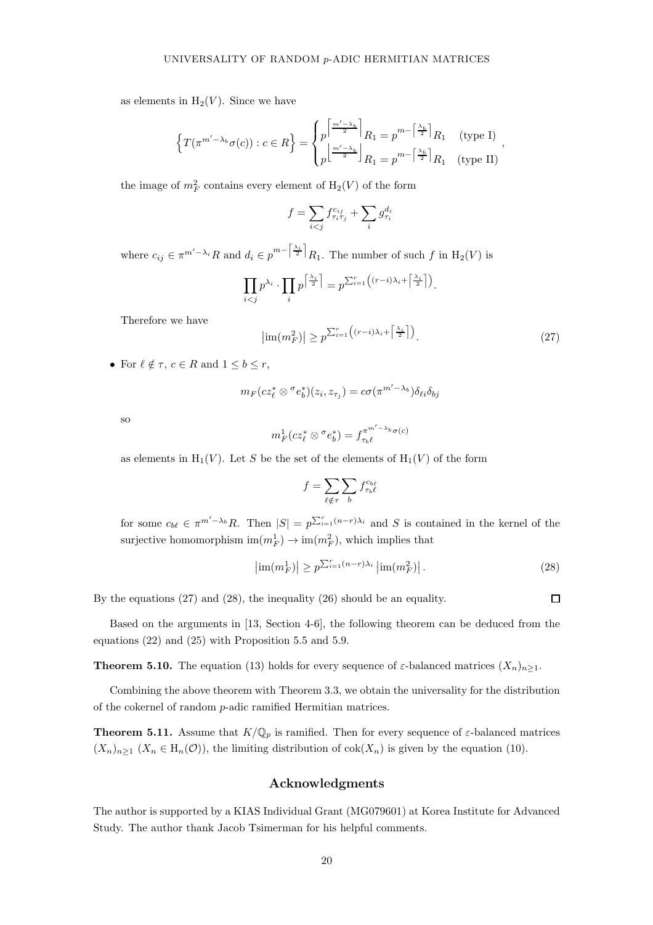as elements in  $H_2(V)$ . Since we have

$$
\left\{T(\pi^{m'-\lambda_b}\sigma(c)):c\in R\right\}=\begin{cases}p^{\left\lceil\frac{m'-\lambda_b}{2}\right\rceil}R_1=p^{m-\left\lceil\frac{\lambda_b}{2}\right\rceil}R_1\quad\text{(type I)}\\p^{\left\lfloor\frac{m'-\lambda_b}{2}\right\rfloor}R_1=p^{m-\left\lceil\frac{\lambda_b}{2}\right\rceil}R_1\quad\text{(type II)}\end{cases}
$$

the image of  $m_F^2$  contains every element of  $H_2(V)$  of the form

$$
f = \sum_{i < j} f_{\tau_i \tau_j}^{c_{ij}} + \sum_i g_{\tau_i}^{d_i}
$$

where  $c_{ij} \in \pi^{m'-\lambda_i} R$  and  $d_i \in p^{m-\left\lceil \frac{\lambda_i}{2} \right\rceil} R_1$ . The number of such f in  $H_2(V)$  is

<span id="page-19-2"></span>
$$
\prod_{i < j} p^{\lambda_i} \cdot \prod_i p^{\left\lceil \frac{\lambda_i}{2} \right\rceil} = p^{\sum_{i=1}^r \left( (r-i)\lambda_i + \left\lceil \frac{\lambda_i}{2} \right\rceil \right)}.
$$

Therefore we have

$$
\left|\operatorname{im}(m_F^2)\right| \ge p^{\sum_{i=1}^r \left((r-i)\lambda_i + \left\lceil \frac{\lambda_i}{2} \right\rceil\right)}.
$$
\n(27)

,

• For  $\ell \notin \tau$ ,  $c \in R$  and  $1 \leq b \leq r$ ,

$$
m_F(c z_\ell^* \otimes^\sigma e_b^*)(z_i,z_{\tau_j}) = c \sigma(\pi^{m'-\lambda_b}) \delta_{\ell i} \delta_{bj}
$$

so

$$
m_F^1(c z_\ell^* \otimes^\sigma e_b^*) = f_{\tau_b \ell}^{\pi^{m'-\lambda_b} \sigma(c)}
$$

as elements in  $H_1(V)$ . Let S be the set of the elements of  $H_1(V)$  of the form

$$
f = \sum_{\ell \notin \tau} \sum_b f_{\tau_b \ell}^{c_{b\ell}}
$$

for some  $c_{b\ell} \in \pi^{m'-\lambda_b}R$ . Then  $|S| = p^{\sum_{i=1}^{r}(n-r)\lambda_i}$  and S is contained in the kernel of the surjective homomorphism  $\text{im}(m_F^1) \to \text{im}(m_F^2)$ , which implies that

$$
\left|\operatorname{im}(m_F^1)\right| \ge p^{\sum_{i=1}^r (n-r)\lambda_i} \left|\operatorname{im}(m_F^2)\right|.
$$
 (28)

By the equations [\(27\)](#page-19-2) and [\(28\)](#page-19-3), the inequality [\(26\)](#page-18-0) should be an equality.

<span id="page-19-1"></span>Based on the arguments in [\[13,](#page-20-3) Section 4-6], the following theorem can be deduced from the equations [\(22\)](#page-15-2) and [\(25\)](#page-15-3) with Proposition [5.5](#page-16-0) and [5.9.](#page-18-1)

**Theorem 5.10.** The equation [\(13\)](#page-7-1) holds for every sequence of  $\varepsilon$ -balanced matrices  $(X_n)_{n>1}$ .

<span id="page-19-0"></span>Combining the above theorem with Theorem [3.3,](#page-8-1) we obtain the universality for the distribution of the cokernel of random p-adic ramified Hermitian matrices.

**Theorem 5.11.** Assume that  $K/\mathbb{Q}_p$  is ramified. Then for every sequence of  $\varepsilon$ -balanced matrices  $(X_n)_{n\geq 1}$   $(X_n \in H_n(\mathcal{O}))$ , the limiting distribution of  $\text{cok}(X_n)$  is given by the equation [\(10\)](#page-4-2).

# Acknowledgments

The author is supported by a KIAS Individual Grant (MG079601) at Korea Institute for Advanced Study. The author thank Jacob Tsimerman for his helpful comments.

<span id="page-19-3"></span> $\Box$